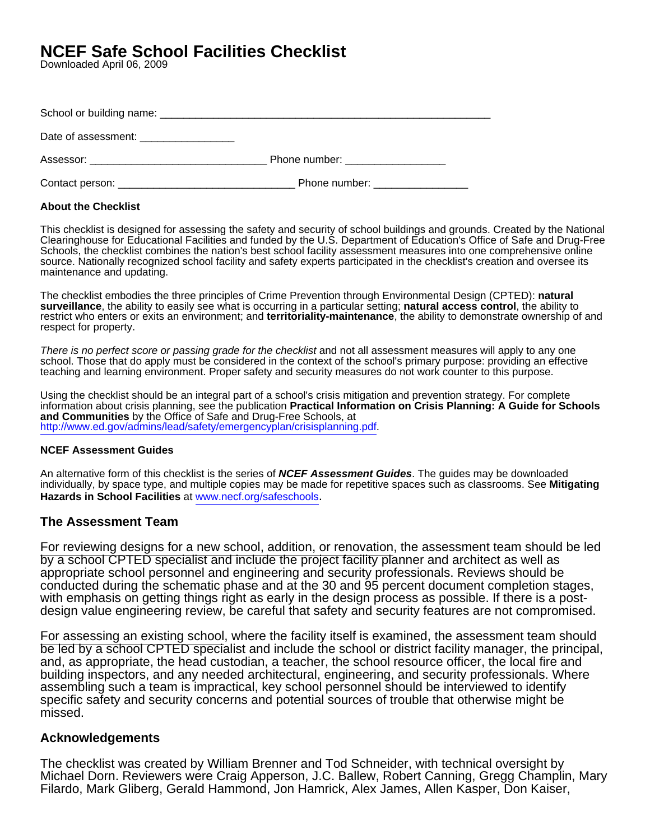# **NCEF Safe School Facilities Checklist**

Downloaded April 06, 2009

| Date of assessment: _________________      |                                                                                                                                                                                                                                |
|--------------------------------------------|--------------------------------------------------------------------------------------------------------------------------------------------------------------------------------------------------------------------------------|
| Assessor: ________________________________ | Phone number: and the state of the state of the state of the state of the state of the state of the state of the state of the state of the state of the state of the state of the state of the state of the state of the state |
| Contact person:                            | Phone number:                                                                                                                                                                                                                  |

# **About the Checklist**

This checklist is designed for assessing the safety and security of school buildings and grounds. Created by the National Clearinghouse for Educational Facilities and funded by the U.S. Department of Education's Office of Safe and Drug-Free Schools, the checklist combines the nation's best school facility assessment measures into one comprehensive online source. Nationally recognized school facility and safety experts participated in the checklist's creation and oversee its maintenance and updating.

The checklist embodies the three principles of Crime Prevention through Environmental Design (CPTED): **natural surveillance**, the ability to easily see what is occurring in a particular setting; **natural access control**, the ability to restrict who enters or exits an environment; and **territoriality-maintenance**, the ability to demonstrate ownership of and respect for property.

There is no perfect score or passing grade for the checklist and not all assessment measures will apply to any one school. Those that do apply must be considered in the context of the school's primary purpose: providing an effective teaching and learning environment. Proper safety and security measures do not work counter to this purpose.

Using the checklist should be an integral part of a school's crisis mitigation and prevention strategy. For complete information about crisis planning, see the publication **Practical Information on Crisis Planning: A Guide for Schools and Communities** by the Office of Safe and Drug-Free Schools, at [http://www.ed.gov/admins/lead/safety/emergencyplan/crisisplanning.pdf.](http://www.ed.gov/admins/lead/safety/emergencyplan/crisisplanning.pdf)

# **NCEF Assessment Guides**

An alternative form of this checklist is the series of **NCEF Assessment Guides**. The guides may be downloaded individually, by space type, and multiple copies may be made for repetitive spaces such as classrooms. See **Mitigating Hazards in School Facilities** at [www.necf.org/safeschools](www.ncef.org/safeschools).

# **The Assessment Team**

For reviewing designs for a new school, addition, or renovation, the assessment team should be led by a school CPTED specialist and include the project facility planner and architect as well as appropriate school personnel and engineering and security professionals. Reviews should be conducted during the schematic phase and at the 30 and 95 percent document completion stages, with emphasis on getting things right as early in the design process as possible. If there is a postdesign value engineering review, be careful that safety and security features are not compromised.

For assessing an existing school, where the facility itself is examined, the assessment team should be led by a school CPTED specialist and include the school or district facility manager, the principal, and, as appropriate, the head custodian, a teacher, the school resource officer, the local fire and building inspectors, and any needed architectural, engineering, and security professionals. Where assembling such a team is impractical, key school personnel should be interviewed to identify specific safety and security concerns and potential sources of trouble that otherwise might be missed.

# **Acknowledgements**

The checklist was created by William Brenner and Tod Schneider, with technical oversight by Michael Dorn. Reviewers were Craig Apperson, J.C. Ballew, Robert Canning, Gregg Champlin, Mary Filardo, Mark Gliberg, Gerald Hammond, Jon Hamrick, Alex James, Allen Kasper, Don Kaiser,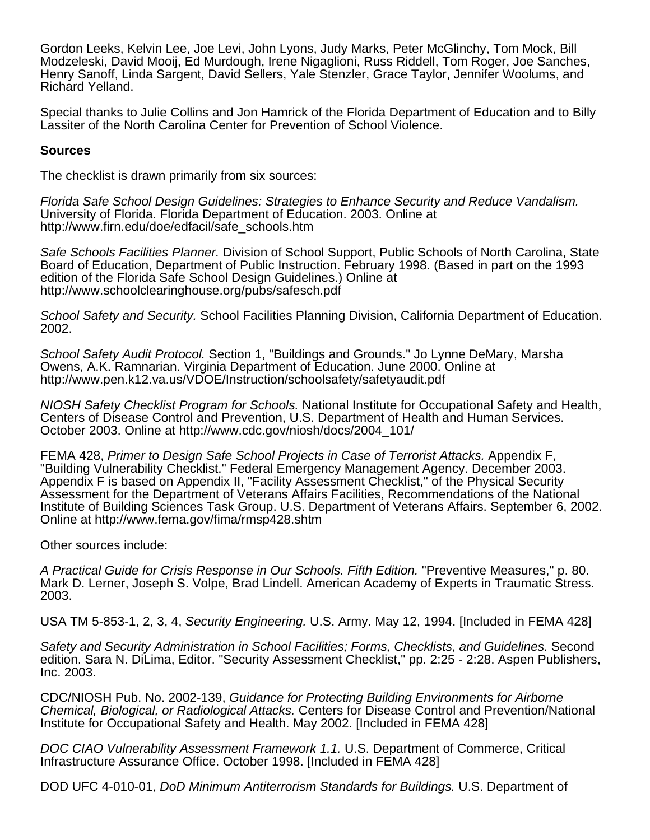Gordon Leeks, Kelvin Lee, Joe Levi, John Lyons, Judy Marks, Peter McGlinchy, Tom Mock, Bill Modzeleski, David Mooij, Ed Murdough, Irene Nigaglioni, Russ Riddell, Tom Roger, Joe Sanches, Henry Sanoff, Linda Sargent, David Sellers, Yale Stenzler, Grace Taylor, Jennifer Woolums, and Richard Yelland.

Special thanks to Julie Collins and Jon Hamrick of the Florida Department of Education and to Billy Lassiter of the North Carolina Center for Prevention of School Violence.

# **Sources**

The checklist is drawn primarily from six sources:

Florida Safe School Design Guidelines: Strategies to Enhance Security and Reduce Vandalism. University of Florida. Florida Department of Education. 2003. Online at http://www.firn.edu/doe/edfacil/safe\_schools.htm

Safe Schools Facilities Planner. Division of School Support, Public Schools of North Carolina, State Board of Education, Department of Public Instruction. February 1998. (Based in part on the 1993 edition of the Florida Safe School Design Guidelines.) Online at http://www.schoolclearinghouse.org/pubs/safesch.pdf

School Safety and Security. School Facilities Planning Division, California Department of Education. 2002.

School Safety Audit Protocol. Section 1, "Buildings and Grounds." Jo Lynne DeMary, Marsha Owens, A.K. Ramnarian. Virginia Department of Education. June 2000. Online at http://www.pen.k12.va.us/VDOE/Instruction/schoolsafety/safetyaudit.pdf

NIOSH Safety Checklist Program for Schools. National Institute for Occupational Safety and Health, Centers of Disease Control and Prevention, U.S. Department of Health and Human Services. October 2003. Online at http://www.cdc.gov/niosh/docs/2004\_101/

FEMA 428, Primer to Design Safe School Projects in Case of Terrorist Attacks. Appendix F, "Building Vulnerability Checklist." Federal Emergency Management Agency. December 2003. Appendix F is based on Appendix II, "Facility Assessment Checklist," of the Physical Security Assessment for the Department of Veterans Affairs Facilities, Recommendations of the National Institute of Building Sciences Task Group. U.S. Department of Veterans Affairs. September 6, 2002. Online at http://www.fema.gov/fima/rmsp428.shtm

Other sources include:

A Practical Guide for Crisis Response in Our Schools. Fifth Edition. "Preventive Measures," p. 80. Mark D. Lerner, Joseph S. Volpe, Brad Lindell. American Academy of Experts in Traumatic Stress. 2003.

USA TM 5-853-1, 2, 3, 4, Security Engineering. U.S. Army. May 12, 1994. [Included in FEMA 428]

Safety and Security Administration in School Facilities; Forms, Checklists, and Guidelines. Second edition. Sara N. DiLima, Editor. "Security Assessment Checklist," pp. 2:25 - 2:28. Aspen Publishers, Inc. 2003.

CDC/NIOSH Pub. No. 2002-139, Guidance for Protecting Building Environments for Airborne Chemical, Biological, or Radiological Attacks. Centers for Disease Control and Prevention/National Institute for Occupational Safety and Health. May 2002. [Included in FEMA 428]

DOC CIAO Vulnerability Assessment Framework 1.1. U.S. Department of Commerce, Critical Infrastructure Assurance Office. October 1998. [Included in FEMA 428]

DOD UFC 4-010-01, DoD Minimum Antiterrorism Standards for Buildings. U.S. Department of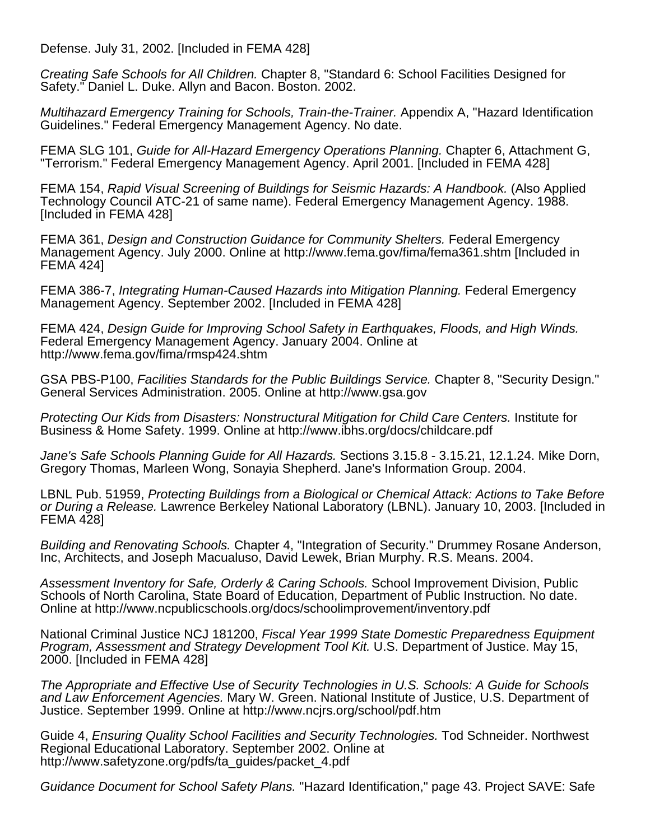Defense. July 31, 2002. [Included in FEMA 428]

Creating Safe Schools for All Children. Chapter 8, "Standard 6: School Facilities Designed for Safety." Daniel L. Duke. Allyn and Bacon. Boston. 2002.

Multihazard Emergency Training for Schools, Train-the-Trainer. Appendix A, "Hazard Identification Guidelines." Federal Emergency Management Agency. No date.

FEMA SLG 101, Guide for All-Hazard Emergency Operations Planning. Chapter 6, Attachment G, "Terrorism." Federal Emergency Management Agency. April 2001. [Included in FEMA 428]

FEMA 154, Rapid Visual Screening of Buildings for Seismic Hazards: A Handbook. (Also Applied Technology Council ATC-21 of same name). Federal Emergency Management Agency. 1988. [Included in FEMA 428]

FEMA 361, Design and Construction Guidance for Community Shelters. Federal Emergency Management Agency. July 2000. Online at http://www.fema.gov/fima/fema361.shtm [Included in FEMA 424]

FEMA 386-7, Integrating Human-Caused Hazards into Mitigation Planning. Federal Emergency Management Agency. September 2002. [Included in FEMA 428]

FEMA 424, Design Guide for Improving School Safety in Earthquakes, Floods, and High Winds. Federal Emergency Management Agency. January 2004. Online at http://www.fema.gov/fima/rmsp424.shtm

GSA PBS-P100, Facilities Standards for the Public Buildings Service. Chapter 8, "Security Design." General Services Administration. 2005. Online at http://www.gsa.gov

Protecting Our Kids from Disasters: Nonstructural Mitigation for Child Care Centers. Institute for Business & Home Safety. 1999. Online at http://www.ibhs.org/docs/childcare.pdf

Jane's Safe Schools Planning Guide for All Hazards. Sections 3.15.8 - 3.15.21, 12.1.24. Mike Dorn, Gregory Thomas, Marleen Wong, Sonayia Shepherd. Jane's Information Group. 2004.

LBNL Pub. 51959, Protecting Buildings from a Biological or Chemical Attack: Actions to Take Before or During a Release. Lawrence Berkeley National Laboratory (LBNL). January 10, 2003. [Included in FEMA 428]

Building and Renovating Schools. Chapter 4, "Integration of Security." Drummey Rosane Anderson, Inc, Architects, and Joseph Macualuso, David Lewek, Brian Murphy. R.S. Means. 2004.

Assessment Inventory for Safe, Orderly & Caring Schools. School Improvement Division, Public Schools of North Carolina, State Board of Education, Department of Public Instruction. No date. Online at http://www.ncpublicschools.org/docs/schoolimprovement/inventory.pdf

National Criminal Justice NCJ 181200, Fiscal Year 1999 State Domestic Preparedness Equipment Program, Assessment and Strategy Development Tool Kit. U.S. Department of Justice. May 15, 2000. [Included in FEMA 428]

The Appropriate and Effective Use of Security Technologies in U.S. Schools: A Guide for Schools and Law Enforcement Agencies. Mary W. Green. National Institute of Justice, U.S. Department of Justice. September 1999. Online at http://www.ncjrs.org/school/pdf.htm

Guide 4, Ensuring Quality School Facilities and Security Technologies. Tod Schneider. Northwest Regional Educational Laboratory. September 2002. Online at http://www.safetyzone.org/pdfs/ta\_guides/packet\_4.pdf

Guidance Document for School Safety Plans. "Hazard Identification," page 43. Project SAVE: Safe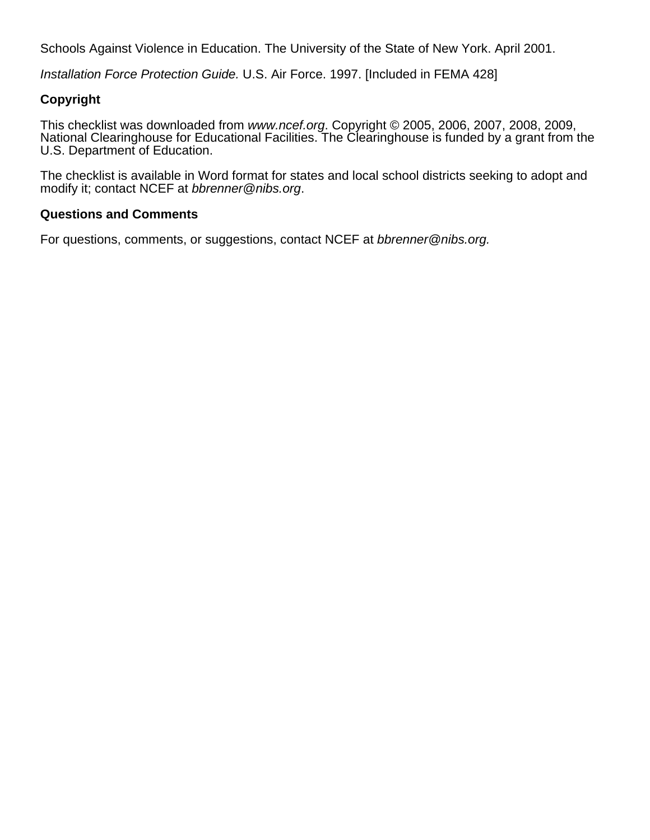Schools Against Violence in Education. The University of the State of New York. April 2001.

Installation Force Protection Guide. U.S. Air Force. 1997. [Included in FEMA 428]

# **Copyright**

This checklist was downloaded from www.ncef.org. Copyright © 2005, 2006, 2007, 2008, 2009, National Clearinghouse for Educational Facilities. The Clearinghouse is funded by a grant from the U.S. Department of Education.

The checklist is available in Word format for states and local school districts seeking to adopt and modify it; contact NCEF at bbrenner@nibs.org.

# **Questions and Comments**

For questions, comments, or suggestions, contact NCEF at bbrenner@nibs.org.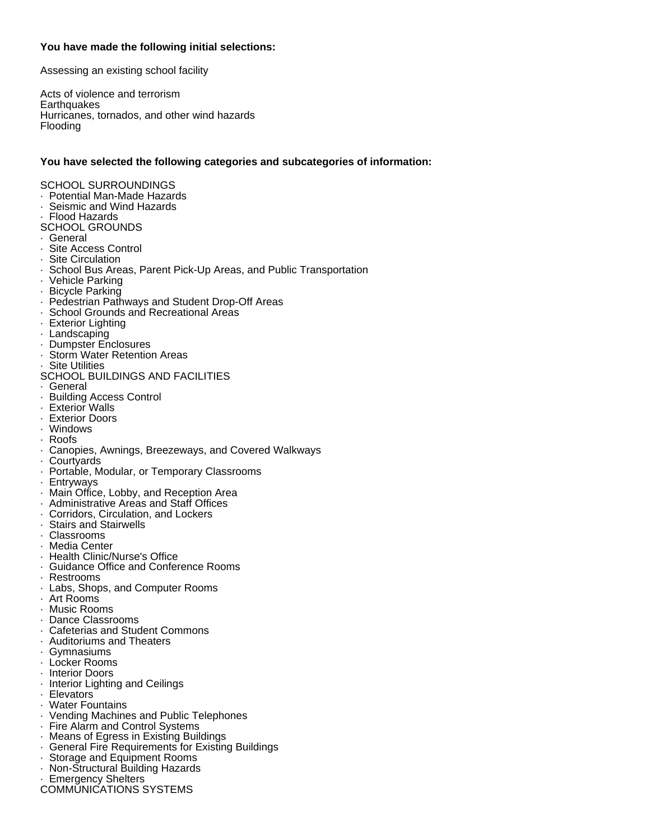# **You have made the following initial selections:**

Assessing an existing school facility

Acts of violence and terrorism **Earthquakes** Hurricanes, tornados, and other wind hazards Flooding

# **You have selected the following categories and subcategories of information:**

# SCHOOL SURROUNDINGS

- · Potential Man-Made Hazards
- · Seismic and Wind Hazards
- · Flood Hazards
- SCHOOL GROUNDS
- · General
- · Site Access Control
- · Site Circulation
- · School Bus Areas, Parent Pick-Up Areas, and Public Transportation
- · Vehicle Parking
- · Bicycle Parking
- · Pedestrian Pathways and Student Drop-Off Areas
- · School Grounds and Recreational Areas
- · Exterior Lighting
- · Landscaping
- · Dumpster Enclosures
- · Storm Water Retention Areas
- · Site Utilities
- SCHOOL BUILDINGS AND FACILITIES
- · General
- · Building Access Control
- · Exterior Walls
- · Exterior Doors
- · Windows
- · Roofs
- · Canopies, Awnings, Breezeways, and Covered Walkways
- · Courtyards
- · Portable, Modular, or Temporary Classrooms
- · Entryways
- · Main Office, Lobby, and Reception Area
- · Administrative Areas and Staff Offices
- · Corridors, Circulation, and Lockers
- · Stairs and Stairwells<br>· Classrooms
- · Classrooms
- · Media Center
- · Health Clinic/Nurse's Office
- · Guidance Office and Conference Rooms
- · Restrooms
- · Labs, Shops, and Computer Rooms
- · Art Rooms
- · Music Rooms
- · Dance Classrooms
- · Cafeterias and Student Commons
- · Auditoriums and Theaters
- · Gymnasiums
- · Locker Rooms
- · Interior Doors
- · Interior Lighting and Ceilings
- · Elevators
- **Water Fountains**
- · Vending Machines and Public Telephones
- · Fire Alarm and Control Systems
- · Means of Egress in Existing Buildings
- General Fire Requirements for Existing Buildings
- · Storage and Equipment Rooms
- · Non-Structural Building Hazards
- **Emergency Shelters**
- COMMUNICATIONS SYSTEMS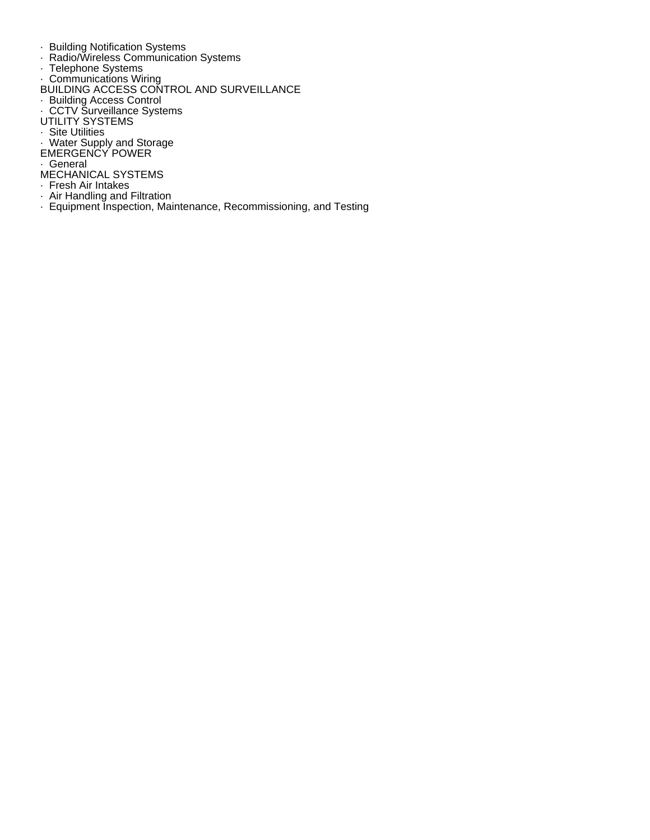- · Building Notification Systems
- · Radio/Wireless Communication Systems
- · Telephone Systems
- · Communications Wiring
- BUILDING ACCESS CONTROL AND SURVEILLANCE
- · Building Access Control
- · CCTV Surveillance Systems
- UTILITY SYSTEMS
- · Site Utilities
- · Water Supply and Storage
- EMERGENCY POWER
- · General
- MECHANICAL SYSTEMS
- · Fresh Air Intakes
- · Air Handling and Filtration
- · Equipment Inspection, Maintenance, Recommissioning, and Testing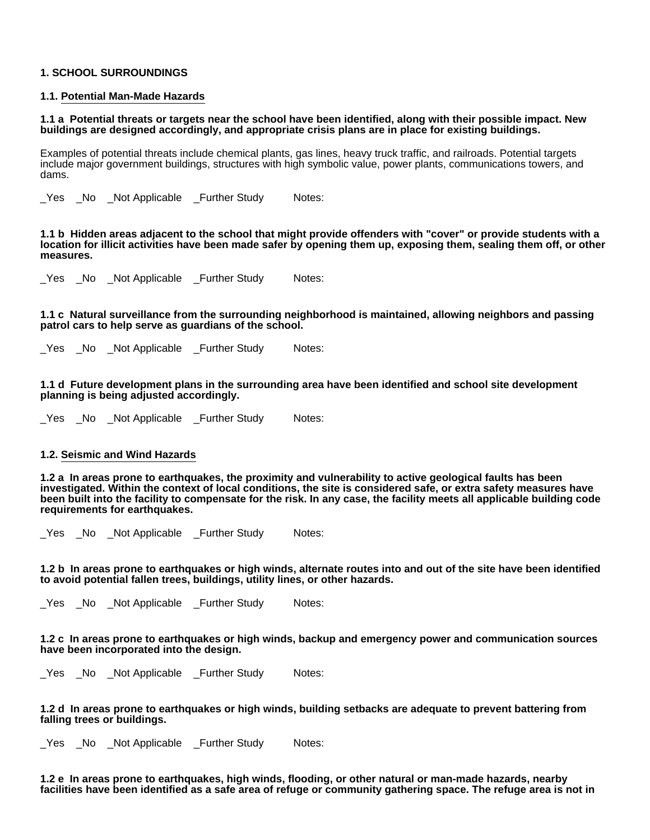# **1. SCHOOL SURROUNDINGS**

## **1.1. Potential Man-Made Hazards**

**1.1 a Potential threats or targets near the school have been identified, along with their possible impact. New buildings are designed accordingly, and appropriate crisis plans are in place for existing buildings.**

Examples of potential threats include chemical plants, gas lines, heavy truck traffic, and railroads. Potential targets include major government buildings, structures with high symbolic value, power plants, communications towers, and dams.

Yes No Not Applicable Further Study Notes:

**1.1 b Hidden areas adjacent to the school that might provide offenders with "cover" or provide students with a location for illicit activities have been made safer by opening them up, exposing them, sealing them off, or other measures.**

\_Yes \_No \_Not Applicable \_Further Study Notes:

**1.1 c Natural surveillance from the surrounding neighborhood is maintained, allowing neighbors and passing patrol cars to help serve as guardians of the school.**

\_Yes \_No \_Not Applicable \_Further Study Notes:

**1.1 d Future development plans in the surrounding area have been identified and school site development planning is being adjusted accordingly.**

\_Yes \_No \_Not Applicable \_Further Study Notes:

#### **1.2. Seismic and Wind Hazards**

**1.2 a In areas prone to earthquakes, the proximity and vulnerability to active geological faults has been investigated. Within the context of local conditions, the site is considered safe, or extra safety measures have been built into the facility to compensate for the risk. In any case, the facility meets all applicable building code requirements for earthquakes.**

\_Yes \_No \_Not Applicable \_Further Study Notes:

**1.2 b In areas prone to earthquakes or high winds, alternate routes into and out of the site have been identified to avoid potential fallen trees, buildings, utility lines, or other hazards.**

\_Yes \_No \_Not Applicable \_Further Study Notes:

#### **1.2 c In areas prone to earthquakes or high winds, backup and emergency power and communication sources have been incorporated into the design.**

\_Yes \_No \_Not Applicable \_Further Study Notes:

**1.2 d In areas prone to earthquakes or high winds, building setbacks are adequate to prevent battering from falling trees or buildings.**

\_Yes \_No \_Not Applicable \_Further Study Notes:

**1.2 e In areas prone to earthquakes, high winds, flooding, or other natural or man-made hazards, nearby facilities have been identified as a safe area of refuge or community gathering space. The refuge area is not in**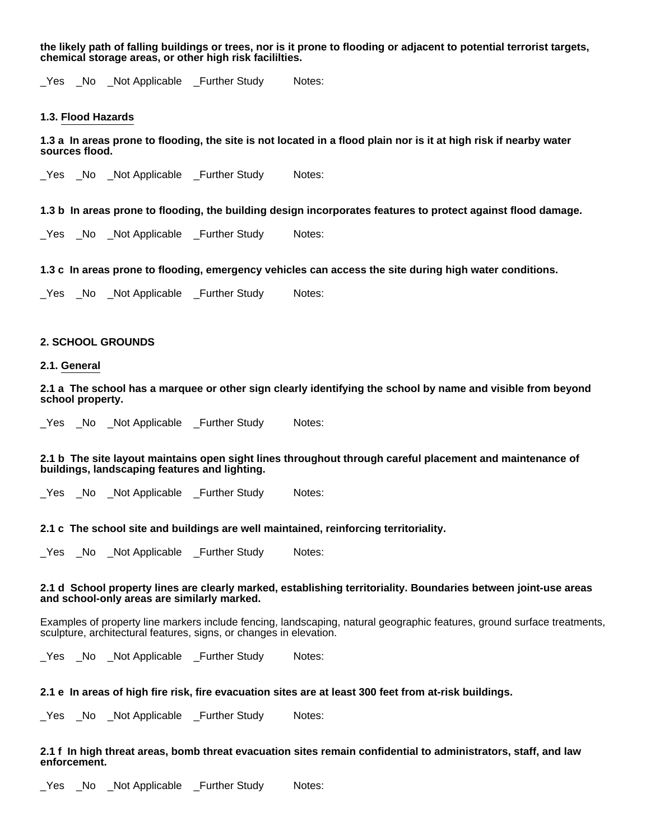**the likely path of falling buildings or trees, nor is it prone to flooding or adjacent to potential terrorist targets, chemical storage areas, or other high risk facililties.**

\_Yes \_No \_Not Applicable \_Further Study Notes:

#### **1.3. Flood Hazards**

**1.3 a In areas prone to flooding, the site is not located in a flood plain nor is it at high risk if nearby water sources flood.**

\_Yes \_No \_Not Applicable \_Further Study Notes:

#### **1.3 b In areas prone to flooding, the building design incorporates features to protect against flood damage.**

\_Yes \_No \_Not Applicable \_Further Study Notes:

### **1.3 c In areas prone to flooding, emergency vehicles can access the site during high water conditions.**

Yes No Not Applicable Further Study Notes:

# **2. SCHOOL GROUNDS**

# **2.1. General**

**2.1 a The school has a marquee or other sign clearly identifying the school by name and visible from beyond school property.**

\_Yes \_No \_Not Applicable \_Further Study Notes:

### **2.1 b The site layout maintains open sight lines throughout through careful placement and maintenance of buildings, landscaping features and lighting.**

Yes No Not Applicable Further Study Notes:

### **2.1 c The school site and buildings are well maintained, reinforcing territoriality.**

\_Yes \_No \_Not Applicable \_Further Study Notes:

#### **2.1 d School property lines are clearly marked, establishing territoriality. Boundaries between joint-use areas and school-only areas are similarly marked.**

Examples of property line markers include fencing, landscaping, natural geographic features, ground surface treatments, sculpture, architectural features, signs, or changes in elevation.

Yes No Not Applicable Further Study Notes:

#### **2.1 e In areas of high fire risk, fire evacuation sites are at least 300 feet from at-risk buildings.**

\_Yes \_No \_Not Applicable \_Further Study Notes:

# **2.1 f In high threat areas, bomb threat evacuation sites remain confidential to administrators, staff, and law enforcement.**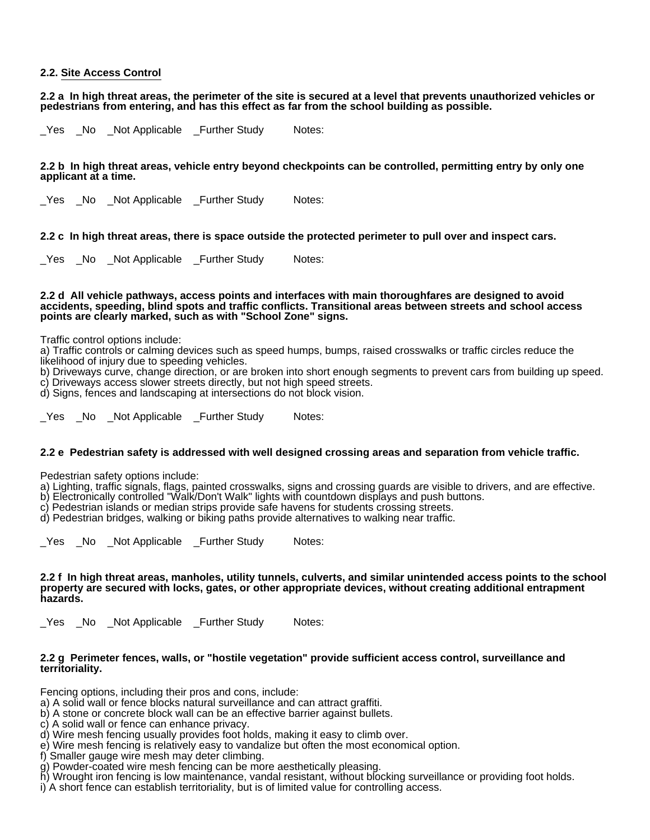# **2.2. Site Access Control**

**2.2 a In high threat areas, the perimeter of the site is secured at a level that prevents unauthorized vehicles or pedestrians from entering, and has this effect as far from the school building as possible.**

Yes No Not Applicable Further Study Notes:

**2.2 b In high threat areas, vehicle entry beyond checkpoints can be controlled, permitting entry by only one applicant at a time.**

Yes No Not Applicable Further Study Notes:

**2.2 c In high threat areas, there is space outside the protected perimeter to pull over and inspect cars.**

\_Yes \_No \_Not Applicable \_Further Study Notes:

#### **2.2 d All vehicle pathways, access points and interfaces with main thoroughfares are designed to avoid accidents, speeding, blind spots and traffic conflicts. Transitional areas between streets and school access points are clearly marked, such as with "School Zone" signs.**

Traffic control options include:

a) Traffic controls or calming devices such as speed humps, bumps, raised crosswalks or traffic circles reduce the likelihood of injury due to speeding vehicles.

b) Driveways curve, change direction, or are broken into short enough segments to prevent cars from building up speed. c) Driveways access slower streets directly, but not high speed streets.

d) Signs, fences and landscaping at intersections do not block vision.

Yes No Not Applicable Further Study Notes:

### **2.2 e Pedestrian safety is addressed with well designed crossing areas and separation from vehicle traffic.**

Pedestrian safety options include:

a) Lighting, traffic signals, flags, painted crosswalks, signs and crossing guards are visible to drivers, and are effective.

b) Electronically controlled "Walk/Don't Walk" lights with countdown displays and push buttons.

c) Pedestrian islands or median strips provide safe havens for students crossing streets.

d) Pedestrian bridges, walking or biking paths provide alternatives to walking near traffic.

\_Yes \_No \_Not Applicable \_Further Study Notes:

#### **2.2 f In high threat areas, manholes, utility tunnels, culverts, and similar unintended access points to the school property are secured with locks, gates, or other appropriate devices, without creating additional entrapment hazards.**

\_Yes \_No \_Not Applicable \_Further Study Notes:

### **2.2 g Perimeter fences, walls, or "hostile vegetation" provide sufficient access control, surveillance and territoriality.**

Fencing options, including their pros and cons, include:

- a) A solid wall or fence blocks natural surveillance and can attract graffiti.
- b) A stone or concrete block wall can be an effective barrier against bullets.
- c) A solid wall or fence can enhance privacy.
- d) Wire mesh fencing usually provides foot holds, making it easy to climb over.
- e) Wire mesh fencing is relatively easy to vandalize but often the most economical option.
- f) Smaller gauge wire mesh may deter climbing.
- g) Powder-coated wire mesh fencing can be more aesthetically pleasing.
- h) Wrought iron fencing is low maintenance, vandal resistant, without blocking surveillance or providing foot holds.
- i) A short fence can establish territoriality, but is of limited value for controlling access.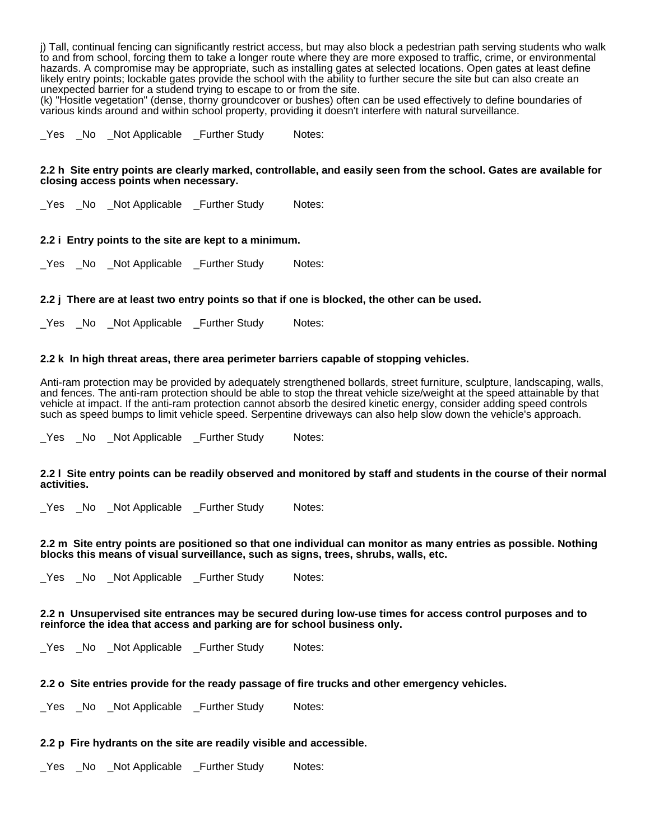j) Tall, continual fencing can significantly restrict access, but may also block a pedestrian path serving students who walk to and from school, forcing them to take a longer route where they are more exposed to traffic, crime, or environmental hazards. A compromise may be appropriate, such as installing gates at selected locations. Open gates at least define likely entry points; lockable gates provide the school with the ability to further secure the site but can also create an unexpected barrier for a studend trying to escape to or from the site.

(k) "Hositle vegetation" (dense, thorny groundcover or bushes) often can be used effectively to define boundaries of various kinds around and within school property, providing it doesn't interfere with natural surveillance.

Yes No Not Applicable Further Study Notes:

#### **2.2 h Site entry points are clearly marked, controllable, and easily seen from the school. Gates are available for closing access points when necessary.**

\_Yes \_No \_Not Applicable \_Further Study Notes:

# **2.2 i Entry points to the site are kept to a minimum.**

\_Yes \_No \_Not Applicable \_Further Study Notes:

### **2.2 j There are at least two entry points so that if one is blocked, the other can be used.**

\_Yes \_No \_Not Applicable \_Further Study Notes:

### **2.2 k In high threat areas, there area perimeter barriers capable of stopping vehicles.**

Anti-ram protection may be provided by adequately strengthened bollards, street furniture, sculpture, landscaping, walls, and fences. The anti-ram protection should be able to stop the threat vehicle size/weight at the speed attainable by that vehicle at impact. If the anti-ram protection cannot absorb the desired kinetic energy, consider adding speed controls such as speed bumps to limit vehicle speed. Serpentine driveways can also help slow down the vehicle's approach.

\_Yes \_No \_Not Applicable \_Further Study Notes:

### **2.2 l Site entry points can be readily observed and monitored by staff and students in the course of their normal activities.**

\_Yes \_No \_Not Applicable \_Further Study Notes:

# **2.2 m Site entry points are positioned so that one individual can monitor as many entries as possible. Nothing blocks this means of visual surveillance, such as signs, trees, shrubs, walls, etc.**

\_Yes \_No \_Not Applicable \_Further Study Notes:

#### **2.2 n Unsupervised site entrances may be secured during low-use times for access control purposes and to reinforce the idea that access and parking are for school business only.**

\_Yes \_No \_Not Applicable \_Further Study Notes:

# **2.2 o Site entries provide for the ready passage of fire trucks and other emergency vehicles.**

Yes No Not Applicable Further Study Notes:

### **2.2 p Fire hydrants on the site are readily visible and accessible.**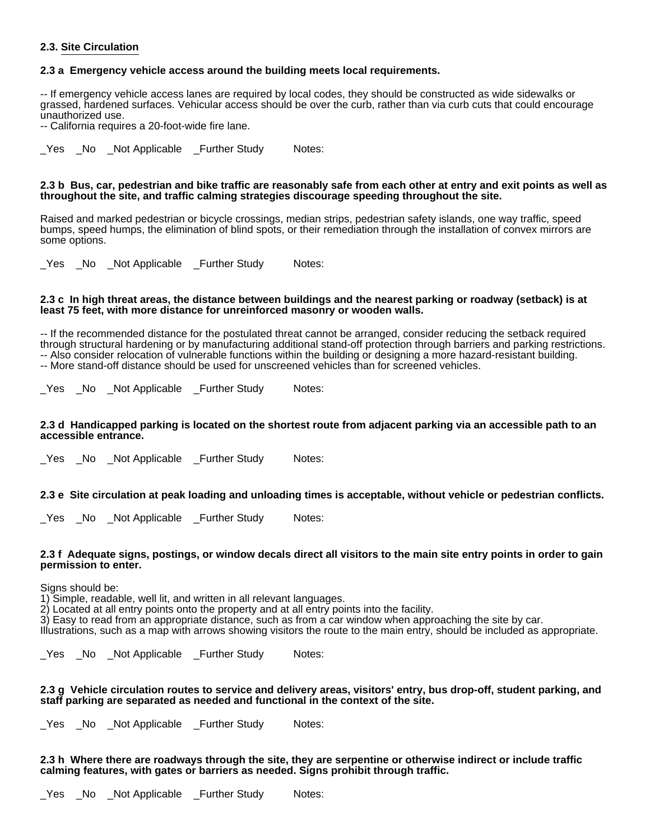# **2.3. Site Circulation**

# **2.3 a Emergency vehicle access around the building meets local requirements.**

-- If emergency vehicle access lanes are required by local codes, they should be constructed as wide sidewalks or grassed, hardened surfaces. Vehicular access should be over the curb, rather than via curb cuts that could encourage unauthorized use.

-- California requires a 20-foot-wide fire lane.

\_Yes \_No \_Not Applicable \_Further Study Notes:

# **2.3 b Bus, car, pedestrian and bike traffic are reasonably safe from each other at entry and exit points as well as throughout the site, and traffic calming strategies discourage speeding throughout the site.**

Raised and marked pedestrian or bicycle crossings, median strips, pedestrian safety islands, one way traffic, speed bumps, speed humps, the elimination of blind spots, or their remediation through the installation of convex mirrors are some options.

\_Yes \_No \_Not Applicable \_Further Study Notes:

### **2.3 c In high threat areas, the distance between buildings and the nearest parking or roadway (setback) is at least 75 feet, with more distance for unreinforced masonry or wooden walls.**

-- If the recommended distance for the postulated threat cannot be arranged, consider reducing the setback required through structural hardening or by manufacturing additional stand-off protection through barriers and parking restrictions. -- Also consider relocation of vulnerable functions within the building or designing a more hazard-resistant building. -- More stand-off distance should be used for unscreened vehicles than for screened vehicles.

Yes No Not Applicable Further Study Notes:

#### **2.3 d Handicapped parking is located on the shortest route from adjacent parking via an accessible path to an accessible entrance.**

Yes No Not Applicable Further Study Notes:

**2.3 e Site circulation at peak loading and unloading times is acceptable, without vehicle or pedestrian conflicts.**

\_Yes \_No \_Not Applicable \_Further Study Notes:

### **2.3 f Adequate signs, postings, or window decals direct all visitors to the main site entry points in order to gain permission to enter.**

Signs should be:

1) Simple, readable, well lit, and written in all relevant languages.

2) Located at all entry points onto the property and at all entry points into the facility.

3) Easy to read from an appropriate distance, such as from a car window when approaching the site by car.

Illustrations, such as a map with arrows showing visitors the route to the main entry, should be included as appropriate.

\_Yes \_No \_Not Applicable \_Further Study Notes:

### **2.3 g Vehicle circulation routes to service and delivery areas, visitors' entry, bus drop-off, student parking, and staff parking are separated as needed and functional in the context of the site.**

\_Yes \_No \_Not Applicable \_Further Study Notes:

### **2.3 h Where there are roadways through the site, they are serpentine or otherwise indirect or include traffic calming features, with gates or barriers as needed. Signs prohibit through traffic.**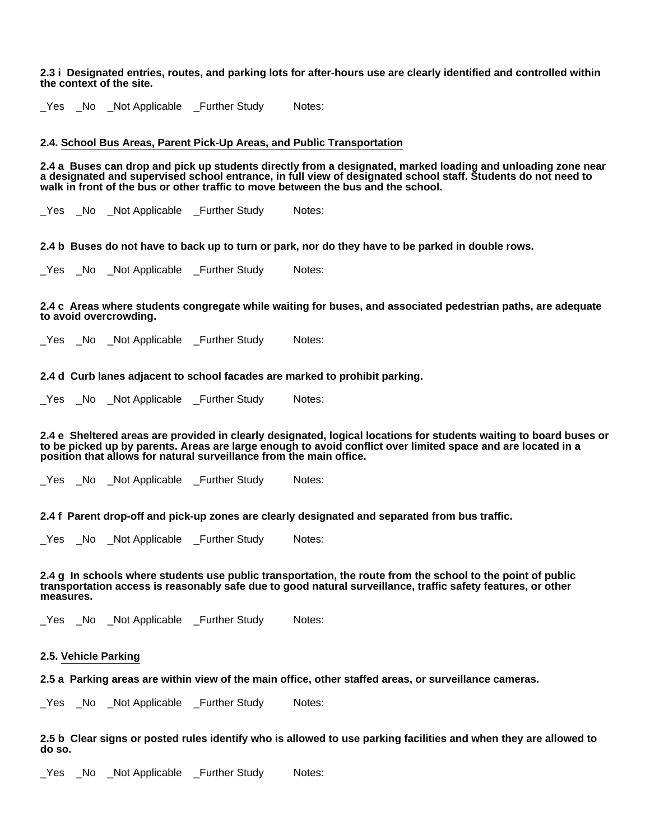#### **2.3 i Designated entries, routes, and parking lots for after-hours use are clearly identified and controlled within the context of the site.**

\_Yes \_No \_Not Applicable \_Further Study Notes:

# **2.4. School Bus Areas, Parent Pick-Up Areas, and Public Transportation**

**2.4 a Buses can drop and pick up students directly from a designated, marked loading and unloading zone near a designated and supervised school entrance, in full view of designated school staff. Students do not need to walk in front of the bus or other traffic to move between the bus and the school.**

\_Yes \_No \_Not Applicable \_Further Study Notes:

**2.4 b Buses do not have to back up to turn or park, nor do they have to be parked in double rows.**

Yes No Not Applicable Further Study Notes:

#### **2.4 c Areas where students congregate while waiting for buses, and associated pedestrian paths, are adequate to avoid overcrowding.**

Yes No Not Applicable Further Study Notes:

# **2.4 d Curb lanes adjacent to school facades are marked to prohibit parking.**

\_Yes \_No \_Not Applicable \_Further Study Notes:

**2.4 e Sheltered areas are provided in clearly designated, logical locations for students waiting to board buses or to be picked up by parents. Areas are large enough to avoid conflict over limited space and are located in a position that allows for natural surveillance from the main office.**

Yes No Not Applicable Further Study Notes:

**2.4 f Parent drop-off and pick-up zones are clearly designated and separated from bus traffic.**

\_Yes \_No \_Not Applicable \_Further Study Notes:

**2.4 g In schools where students use public transportation, the route from the school to the point of public transportation access is reasonably safe due to good natural surveillance, traffic safety features, or other measures.**

Yes No Not Applicable Further Study Notes:

# **2.5. Vehicle Parking**

**2.5 a Parking areas are within view of the main office, other staffed areas, or surveillance cameras.**

Yes No Not Applicable Further Study Notes:

**2.5 b Clear signs or posted rules identify who is allowed to use parking facilities and when they are allowed to do so.**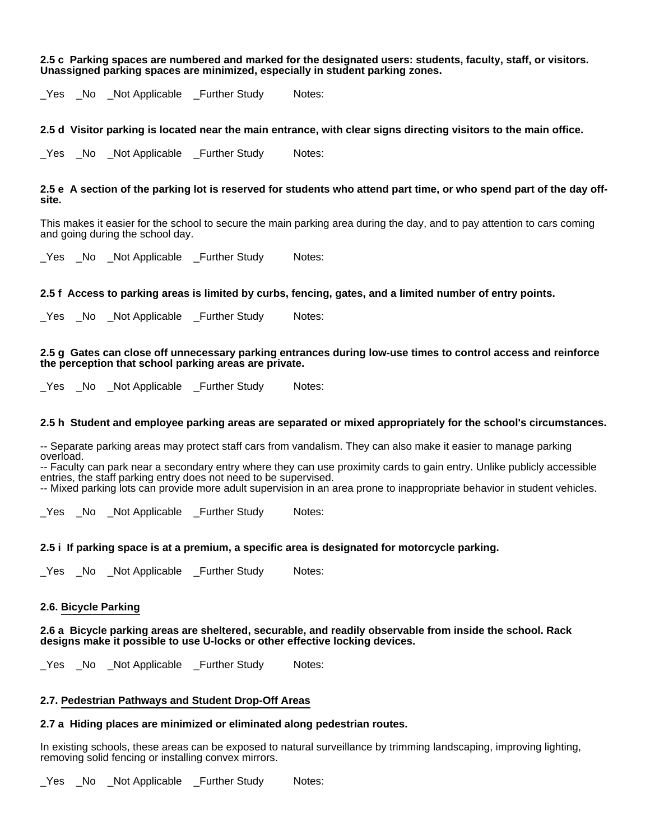#### **2.5 c Parking spaces are numbered and marked for the designated users: students, faculty, staff, or visitors. Unassigned parking spaces are minimized, especially in student parking zones.**

\_Yes \_No \_Not Applicable \_Further Study Notes:

# **2.5 d Visitor parking is located near the main entrance, with clear signs directing visitors to the main office.**

Yes No Not Applicable Further Study Notes:

# **2.5 e A section of the parking lot is reserved for students who attend part time, or who spend part of the day offsite.**

This makes it easier for the school to secure the main parking area during the day, and to pay attention to cars coming and going during the school day.

Yes No Not Applicable Further Study Notes:

# **2.5 f Access to parking areas is limited by curbs, fencing, gates, and a limited number of entry points.**

\_Yes \_No \_Not Applicable \_Further Study Notes:

#### **2.5 g Gates can close off unnecessary parking entrances during low-use times to control access and reinforce the perception that school parking areas are private.**

\_Yes \_No \_Not Applicable \_Further Study Notes:

### **2.5 h Student and employee parking areas are separated or mixed appropriately for the school's circumstances.**

-- Separate parking areas may protect staff cars from vandalism. They can also make it easier to manage parking overload.

-- Faculty can park near a secondary entry where they can use proximity cards to gain entry. Unlike publicly accessible entries, the staff parking entry does not need to be supervised.

-- Mixed parking lots can provide more adult supervision in an area prone to inappropriate behavior in student vehicles.

Yes No Not Applicable Further Study Notes:

# **2.5 i If parking space is at a premium, a specific area is designated for motorcycle parking.**

\_Yes \_No \_Not Applicable \_Further Study Notes:

### **2.6. Bicycle Parking**

### **2.6 a Bicycle parking areas are sheltered, securable, and readily observable from inside the school. Rack designs make it possible to use U-locks or other effective locking devices.**

\_Yes \_No \_Not Applicable \_Further Study Notes:

### **2.7. Pedestrian Pathways and Student Drop-Off Areas**

### **2.7 a Hiding places are minimized or eliminated along pedestrian routes.**

In existing schools, these areas can be exposed to natural surveillance by trimming landscaping, improving lighting, removing solid fencing or installing convex mirrors.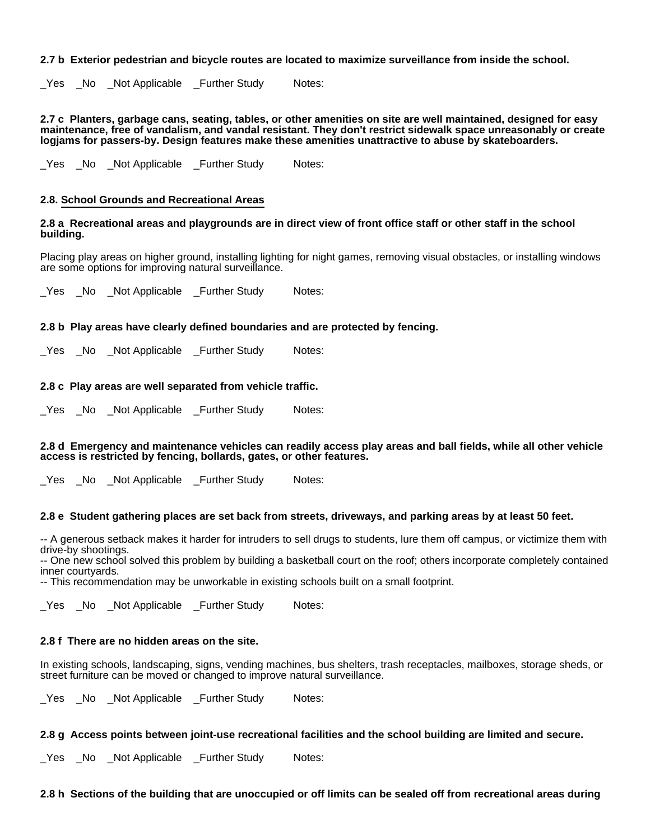# **2.7 b Exterior pedestrian and bicycle routes are located to maximize surveillance from inside the school.**

Yes No Not Applicable Further Study Notes:

**2.7 c Planters, garbage cans, seating, tables, or other amenities on site are well maintained, designed for easy maintenance, free of vandalism, and vandal resistant. They don't restrict sidewalk space unreasonably or create logjams for passers-by. Design features make these amenities unattractive to abuse by skateboarders.**

\_Yes \_No \_Not Applicable \_Further Study Notes:

# **2.8. School Grounds and Recreational Areas**

### **2.8 a Recreational areas and playgrounds are in direct view of front office staff or other staff in the school building.**

Placing play areas on higher ground, installing lighting for night games, removing visual obstacles, or installing windows are some options for improving natural surveillance.

\_Yes \_No \_Not Applicable \_Further Study Notes:

# **2.8 b Play areas have clearly defined boundaries and are protected by fencing.**

\_Yes \_No \_Not Applicable \_Further Study Notes:

# **2.8 c Play areas are well separated from vehicle traffic.**

Yes No Not Applicable Further Study Notes:

### **2.8 d Emergency and maintenance vehicles can readily access play areas and ball fields, while all other vehicle access is restricted by fencing, bollards, gates, or other features.**

Yes No Not Applicable Further Study Notes:

### **2.8 e Student gathering places are set back from streets, driveways, and parking areas by at least 50 feet.**

-- A generous setback makes it harder for intruders to sell drugs to students, lure them off campus, or victimize them with drive-by shootings.

-- One new school solved this problem by building a basketball court on the roof; others incorporate completely contained inner courtyards.

-- This recommendation may be unworkable in existing schools built on a small footprint.

\_Yes \_No \_Not Applicable \_Further Study Notes:

### **2.8 f There are no hidden areas on the site.**

In existing schools, landscaping, signs, vending machines, bus shelters, trash receptacles, mailboxes, storage sheds, or street furniture can be moved or changed to improve natural surveillance.

\_Yes \_No \_Not Applicable \_Further Study Notes:

# **2.8 g Access points between joint-use recreational facilities and the school building are limited and secure.**

\_Yes \_No \_Not Applicable \_Further Study Notes:

**2.8 h Sections of the building that are unoccupied or off limits can be sealed off from recreational areas during**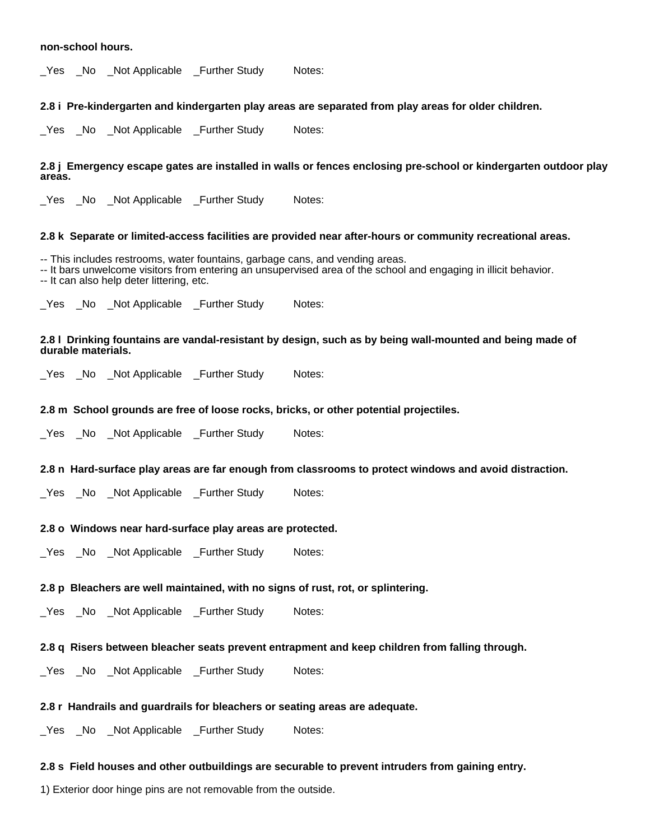### **non-school hours.**

\_Yes \_No \_Not Applicable \_Further Study Notes:

# **2.8 i Pre-kindergarten and kindergarten play areas are separated from play areas for older children.**

Yes No Not Applicable Further Study Notes:

# **2.8 j Emergency escape gates are installed in walls or fences enclosing pre-school or kindergarten outdoor play areas.**

Yes No Not Applicable Further Study Notes:

# **2.8 k Separate or limited-access facilities are provided near after-hours or community recreational areas.**

-- This includes restrooms, water fountains, garbage cans, and vending areas.

-- It bars unwelcome visitors from entering an unsupervised area of the school and engaging in illicit behavior. -- It can also help deter littering, etc.

\_Yes \_No \_Not Applicable \_Further Study Notes:

# **2.8 l Drinking fountains are vandal-resistant by design, such as by being wall-mounted and being made of durable materials.**

\_Yes \_No \_Not Applicable \_Further Study Notes:

# **2.8 m School grounds are free of loose rocks, bricks, or other potential projectiles.**

Yes No Not Applicable Further Study Notes:

### **2.8 n Hard-surface play areas are far enough from classrooms to protect windows and avoid distraction.**

Yes No Not Applicable Further Study Notes:

### **2.8 o Windows near hard-surface play areas are protected.**

\_Yes \_No \_Not Applicable \_Further Study Notes:

# **2.8 p Bleachers are well maintained, with no signs of rust, rot, or splintering.**

\_Yes \_No \_Not Applicable \_Further Study Notes:

# **2.8 q Risers between bleacher seats prevent entrapment and keep children from falling through.**

\_Yes \_No \_Not Applicable \_Further Study Notes:

# **2.8 r Handrails and guardrails for bleachers or seating areas are adequate.**

\_Yes \_No \_Not Applicable \_Further Study Notes:

# **2.8 s Field houses and other outbuildings are securable to prevent intruders from gaining entry.**

1) Exterior door hinge pins are not removable from the outside.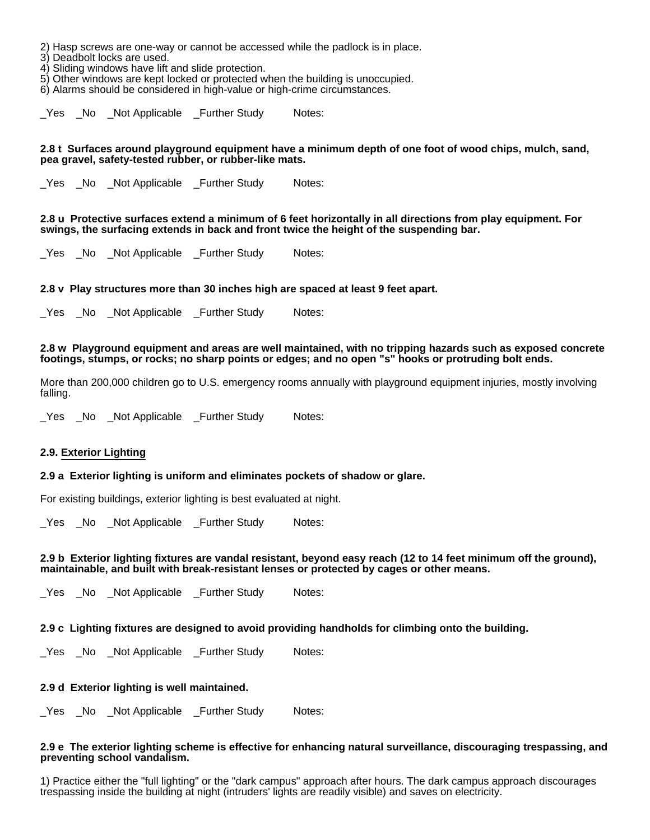2) Hasp screws are one-way or cannot be accessed while the padlock is in place.

3) Deadbolt locks are used.

4) Sliding windows have lift and slide protection.

5) Other windows are kept locked or protected when the building is unoccupied.

6) Alarms should be considered in high-value or high-crime circumstances.

\_Yes \_No \_Not Applicable \_Further Study Notes:

### **2.8 t Surfaces around playground equipment have a minimum depth of one foot of wood chips, mulch, sand, pea gravel, safety-tested rubber, or rubber-like mats.**

\_Yes \_No \_Not Applicable \_Further Study Notes:

### **2.8 u Protective surfaces extend a minimum of 6 feet horizontally in all directions from play equipment. For swings, the surfacing extends in back and front twice the height of the suspending bar.**

\_Yes \_No \_Not Applicable \_Further Study Notes:

# **2.8 v Play structures more than 30 inches high are spaced at least 9 feet apart.**

Yes No Not Applicable Further Study Notes:

### **2.8 w Playground equipment and areas are well maintained, with no tripping hazards such as exposed concrete footings, stumps, or rocks; no sharp points or edges; and no open "s" hooks or protruding bolt ends.**

More than 200,000 children go to U.S. emergency rooms annually with playground equipment injuries, mostly involving falling.

Yes No Not Applicable Further Study Notes:

### **2.9. Exterior Lighting**

### **2.9 a Exterior lighting is uniform and eliminates pockets of shadow or glare.**

For existing buildings, exterior lighting is best evaluated at night.

Yes No Not Applicable Further Study Notes:

#### **2.9 b Exterior lighting fixtures are vandal resistant, beyond easy reach (12 to 14 feet minimum off the ground), maintainable, and built with break-resistant lenses or protected by cages or other means.**

Yes No Not Applicable Further Study Notes:

### **2.9 c Lighting fixtures are designed to avoid providing handholds for climbing onto the building.**

Yes No Not Applicable Further Study Notes:

# **2.9 d Exterior lighting is well maintained.**

\_Yes \_No \_Not Applicable \_Further Study Notes:

### **2.9 e The exterior lighting scheme is effective for enhancing natural surveillance, discouraging trespassing, and preventing school vandalism.**

1) Practice either the "full lighting" or the "dark campus" approach after hours. The dark campus approach discourages trespassing inside the building at night (intruders' lights are readily visible) and saves on electricity.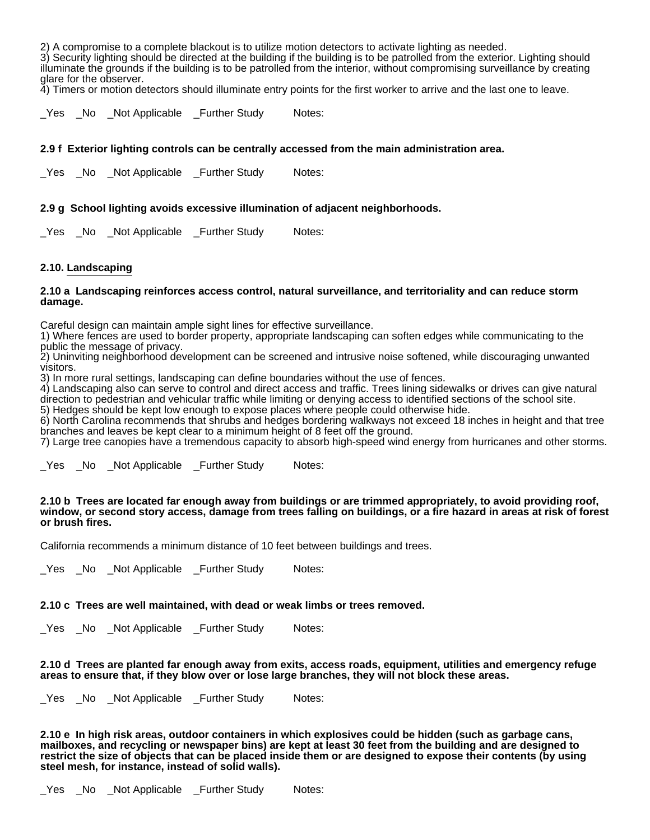2) A compromise to a complete blackout is to utilize motion detectors to activate lighting as needed.

3) Security lighting should be directed at the building if the building is to be patrolled from the exterior. Lighting should illuminate the grounds if the building is to be patrolled from the interior, without compromising surveillance by creating glare for the observer.

4) Timers or motion detectors should illuminate entry points for the first worker to arrive and the last one to leave.

\_Yes \_No \_Not Applicable \_Further Study Notes:

# **2.9 f Exterior lighting controls can be centrally accessed from the main administration area.**

Yes No Not Applicable Further Study Notes:

# **2.9 g School lighting avoids excessive illumination of adjacent neighborhoods.**

Yes No Not Applicable Further Study Notes:

# **2.10. Landscaping**

### **2.10 a Landscaping reinforces access control, natural surveillance, and territoriality and can reduce storm damage.**

Careful design can maintain ample sight lines for effective surveillance.

1) Where fences are used to border property, appropriate landscaping can soften edges while communicating to the public the message of privacy.

2) Uninviting neighborhood development can be screened and intrusive noise softened, while discouraging unwanted visitors.

3) In more rural settings, landscaping can define boundaries without the use of fences.

4) Landscaping also can serve to control and direct access and traffic. Trees lining sidewalks or drives can give natural direction to pedestrian and vehicular traffic while limiting or denying access to identified sections of the school site. 5) Hedges should be kept low enough to expose places where people could otherwise hide.

6) North Carolina recommends that shrubs and hedges bordering walkways not exceed 18 inches in height and that tree branches and leaves be kept clear to a minimum height of 8 feet off the ground.

7) Large tree canopies have a tremendous capacity to absorb high-speed wind energy from hurricanes and other storms.

\_Yes \_No \_Not Applicable \_Further Study Notes:

#### **2.10 b Trees are located far enough away from buildings or are trimmed appropriately, to avoid providing roof, window, or second story access, damage from trees falling on buildings, or a fire hazard in areas at risk of forest or brush fires.**

California recommends a minimum distance of 10 feet between buildings and trees.

Yes No Not Applicable Further Study Notes:

### **2.10 c Trees are well maintained, with dead or weak limbs or trees removed.**

\_Yes \_No \_Not Applicable \_Further Study Notes:

**2.10 d Trees are planted far enough away from exits, access roads, equipment, utilities and emergency refuge areas to ensure that, if they blow over or lose large branches, they will not block these areas.**

\_Yes \_No \_Not Applicable \_Further Study Notes:

**2.10 e In high risk areas, outdoor containers in which explosives could be hidden (such as garbage cans, mailboxes, and recycling or newspaper bins) are kept at least 30 feet from the building and are designed to restrict the size of objects that can be placed inside them or are designed to expose their contents (by using steel mesh, for instance, instead of solid walls).**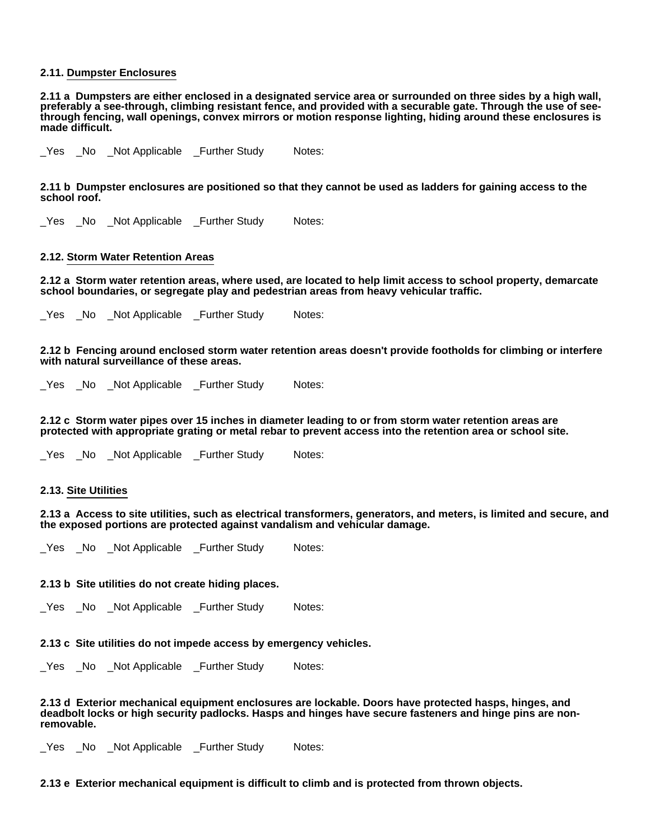# **2.11. Dumpster Enclosures**

**2.11 a Dumpsters are either enclosed in a designated service area or surrounded on three sides by a high wall, preferably a see-through, climbing resistant fence, and provided with a securable gate. Through the use of seethrough fencing, wall openings, convex mirrors or motion response lighting, hiding around these enclosures is made difficult.**

\_Yes \_No \_Not Applicable \_Further Study Notes:

**2.11 b Dumpster enclosures are positioned so that they cannot be used as ladders for gaining access to the school roof.**

\_Yes \_No \_Not Applicable \_Further Study Notes:

### **2.12. Storm Water Retention Areas**

**2.12 a Storm water retention areas, where used, are located to help limit access to school property, demarcate school boundaries, or segregate play and pedestrian areas from heavy vehicular traffic.**

\_Yes \_No \_Not Applicable \_Further Study Notes:

**2.12 b Fencing around enclosed storm water retention areas doesn't provide footholds for climbing or interfere with natural surveillance of these areas.**

\_Yes \_No \_Not Applicable \_Further Study Notes:

**2.12 c Storm water pipes over 15 inches in diameter leading to or from storm water retention areas are protected with appropriate grating or metal rebar to prevent access into the retention area or school site.**

\_Yes \_No \_Not Applicable \_Further Study Notes:

# **2.13. Site Utilities**

**2.13 a Access to site utilities, such as electrical transformers, generators, and meters, is limited and secure, and the exposed portions are protected against vandalism and vehicular damage.**

\_Yes \_No \_Not Applicable \_Further Study Notes:

### **2.13 b Site utilities do not create hiding places.**

\_Yes \_No \_Not Applicable \_Further Study Notes:

### **2.13 c Site utilities do not impede access by emergency vehicles.**

\_Yes \_No \_Not Applicable \_Further Study Notes:

**2.13 d Exterior mechanical equipment enclosures are lockable. Doors have protected hasps, hinges, and deadbolt locks or high security padlocks. Hasps and hinges have secure fasteners and hinge pins are nonremovable.**

Yes No Not Applicable Further Study Notes:

**2.13 e Exterior mechanical equipment is difficult to climb and is protected from thrown objects.**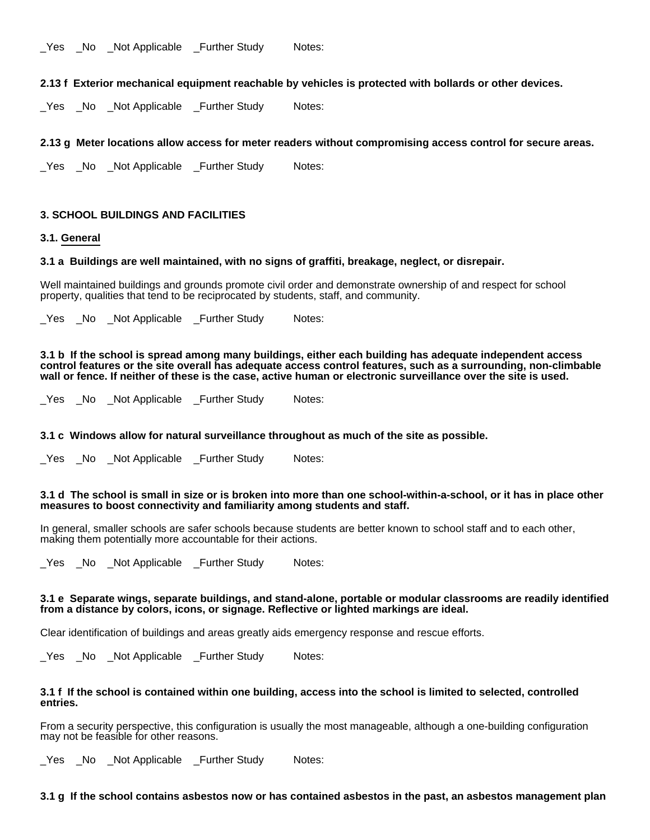\_Yes \_No \_Not Applicable \_Further Study Notes:

**2.13 f Exterior mechanical equipment reachable by vehicles is protected with bollards or other devices.**

\_Yes \_No \_Not Applicable \_Further Study Notes:

# **2.13 g Meter locations allow access for meter readers without compromising access control for secure areas.**

Yes No Not Applicable Further Study Notes:

# **3. SCHOOL BUILDINGS AND FACILITIES**

# **3.1. General**

# **3.1 a Buildings are well maintained, with no signs of graffiti, breakage, neglect, or disrepair.**

Well maintained buildings and grounds promote civil order and demonstrate ownership of and respect for school property, qualities that tend to be reciprocated by students, staff, and community.

Yes No Not Applicable Further Study Notes:

**3.1 b If the school is spread among many buildings, either each building has adequate independent access control features or the site overall has adequate access control features, such as a surrounding, non-climbable wall or fence. If neither of these is the case, active human or electronic surveillance over the site is used.**

\_Yes \_No \_Not Applicable \_Further Study Notes:

# **3.1 c Windows allow for natural surveillance throughout as much of the site as possible.**

Yes No Not Applicable Further Study Notes:

#### **3.1 d The school is small in size or is broken into more than one school-within-a-school, or it has in place other measures to boost connectivity and familiarity among students and staff.**

In general, smaller schools are safer schools because students are better known to school staff and to each other, making them potentially more accountable for their actions.

Yes No Not Applicable Further Study Notes:

# **3.1 e Separate wings, separate buildings, and stand-alone, portable or modular classrooms are readily identified from a distance by colors, icons, or signage. Reflective or lighted markings are ideal.**

Clear identification of buildings and areas greatly aids emergency response and rescue efforts.

\_Yes \_No \_Not Applicable \_Further Study Notes:

### **3.1 f If the school is contained within one building, access into the school is limited to selected, controlled entries.**

From a security perspective, this configuration is usually the most manageable, although a one-building configuration may not be feasible for other reasons.

Yes No Not Applicable Further Study Notes:

### **3.1 g If the school contains asbestos now or has contained asbestos in the past, an asbestos management plan**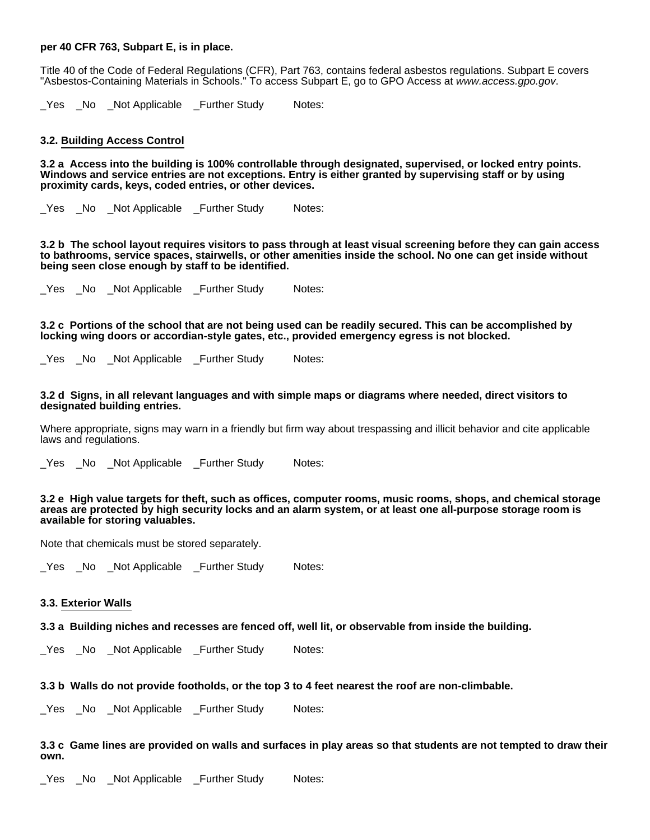# **per 40 CFR 763, Subpart E, is in place.**

Title 40 of the Code of Federal Regulations (CFR), Part 763, contains federal asbestos regulations. Subpart E covers "Asbestos-Containing Materials in Schools." To access Subpart E, go to GPO Access at www.access.gpo.gov.

\_Yes \_No \_Not Applicable \_Further Study Notes:

#### **3.2. Building Access Control**

**3.2 a Access into the building is 100% controllable through designated, supervised, or locked entry points. Windows and service entries are not exceptions. Entry is either granted by supervising staff or by using proximity cards, keys, coded entries, or other devices.**

\_Yes \_No \_Not Applicable \_Further Study Notes:

**3.2 b The school layout requires visitors to pass through at least visual screening before they can gain access to bathrooms, service spaces, stairwells, or other amenities inside the school. No one can get inside without being seen close enough by staff to be identified.**

Yes No Not Applicable Further Study Notes:

**3.2 c Portions of the school that are not being used can be readily secured. This can be accomplished by locking wing doors or accordian-style gates, etc., provided emergency egress is not blocked.**

\_Yes \_No \_Not Applicable \_Further Study Notes:

#### **3.2 d Signs, in all relevant languages and with simple maps or diagrams where needed, direct visitors to designated building entries.**

Where appropriate, signs may warn in a friendly but firm way about trespassing and illicit behavior and cite applicable laws and requilations.

\_Yes \_No \_Not Applicable \_Further Study Notes:

#### **3.2 e High value targets for theft, such as offices, computer rooms, music rooms, shops, and chemical storage areas are protected by high security locks and an alarm system, or at least one all-purpose storage room is available for storing valuables.**

Note that chemicals must be stored separately.

Yes No Not Applicable Further Study Notes:

#### **3.3. Exterior Walls**

# **3.3 a Building niches and recesses are fenced off, well lit, or observable from inside the building.**

Yes No Not Applicable Further Study Notes:

# **3.3 b Walls do not provide footholds, or the top 3 to 4 feet nearest the roof are non-climbable.**

\_Yes \_No \_Not Applicable \_Further Study Notes:

# **3.3 c Game lines are provided on walls and surfaces in play areas so that students are not tempted to draw their own.**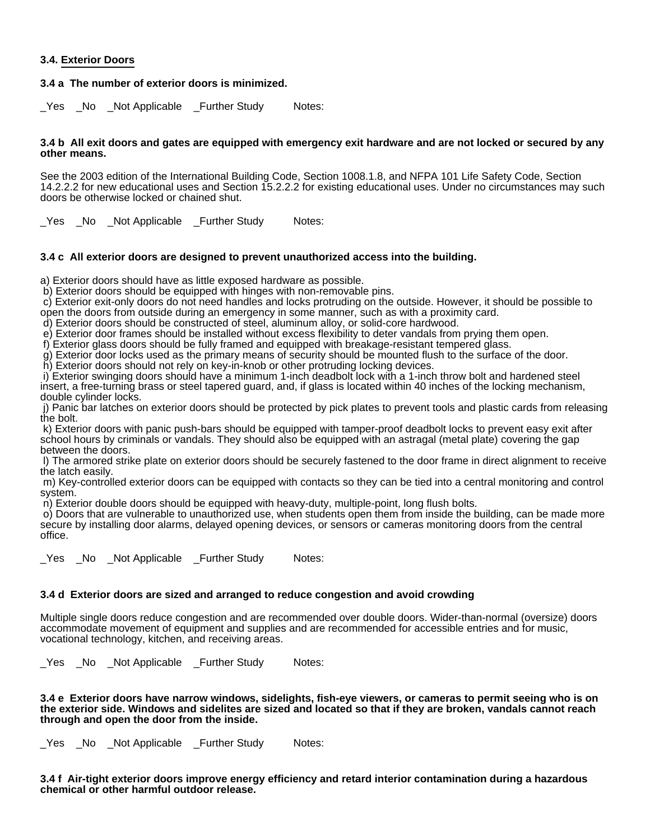# **3.4. Exterior Doors**

# **3.4 a The number of exterior doors is minimized.**

\_Yes \_No \_Not Applicable \_Further Study Notes:

#### **3.4 b All exit doors and gates are equipped with emergency exit hardware and are not locked or secured by any other means.**

See the 2003 edition of the International Building Code, Section 1008.1.8, and NFPA 101 Life Safety Code, Section 14.2.2.2 for new educational uses and Section 15.2.2.2 for existing educational uses. Under no circumstances may such doors be otherwise locked or chained shut.

\_Yes \_No \_Not Applicable \_Further Study Notes:

# **3.4 c All exterior doors are designed to prevent unauthorized access into the building.**

a) Exterior doors should have as little exposed hardware as possible.

b) Exterior doors should be equipped with hinges with non-removable pins.

 c) Exterior exit-only doors do not need handles and locks protruding on the outside. However, it should be possible to open the doors from outside during an emergency in some manner, such as with a proximity card.

d) Exterior doors should be constructed of steel, aluminum alloy, or solid-core hardwood.

e) Exterior door frames should be installed without excess flexibility to deter vandals from prying them open.

f) Exterior glass doors should be fully framed and equipped with breakage-resistant tempered glass.

g) Exterior door locks used as the primary means of security should be mounted flush to the surface of the door.

h) Exterior doors should not rely on key-in-knob or other protruding locking devices.

i) Exterior swinging doors should have a minimum 1-inch deadbolt lock with a 1-inch throw bolt and hardened steel insert, a free-turning brass or steel tapered guard, and, if glass is located within 40 inches of the locking mechanism, double cylinder locks.

 j) Panic bar latches on exterior doors should be protected by pick plates to prevent tools and plastic cards from releasing the bolt.

 k) Exterior doors with panic push-bars should be equipped with tamper-proof deadbolt locks to prevent easy exit after school hours by criminals or vandals. They should also be equipped with an astragal (metal plate) covering the gap between the doors.

 l) The armored strike plate on exterior doors should be securely fastened to the door frame in direct alignment to receive the latch easily.

 m) Key-controlled exterior doors can be equipped with contacts so they can be tied into a central monitoring and control system.

n) Exterior double doors should be equipped with heavy-duty, multiple-point, long flush bolts.

 o) Doors that are vulnerable to unauthorized use, when students open them from inside the building, can be made more secure by installing door alarms, delayed opening devices, or sensors or cameras monitoring doors from the central office.

\_Yes \_No \_Not Applicable \_Further Study Notes:

# **3.4 d Exterior doors are sized and arranged to reduce congestion and avoid crowding**

Multiple single doors reduce congestion and are recommended over double doors. Wider-than-normal (oversize) doors accommodate movement of equipment and supplies and are recommended for accessible entries and for music, vocational technology, kitchen, and receiving areas.

\_Yes \_No \_Not Applicable \_Further Study Notes:

#### **3.4 e Exterior doors have narrow windows, sidelights, fish-eye viewers, or cameras to permit seeing who is on the exterior side. Windows and sidelites are sized and located so that if they are broken, vandals cannot reach through and open the door from the inside.**

\_Yes \_No \_Not Applicable \_Further Study Notes:

**3.4 f Air-tight exterior doors improve energy efficiency and retard interior contamination during a hazardous chemical or other harmful outdoor release.**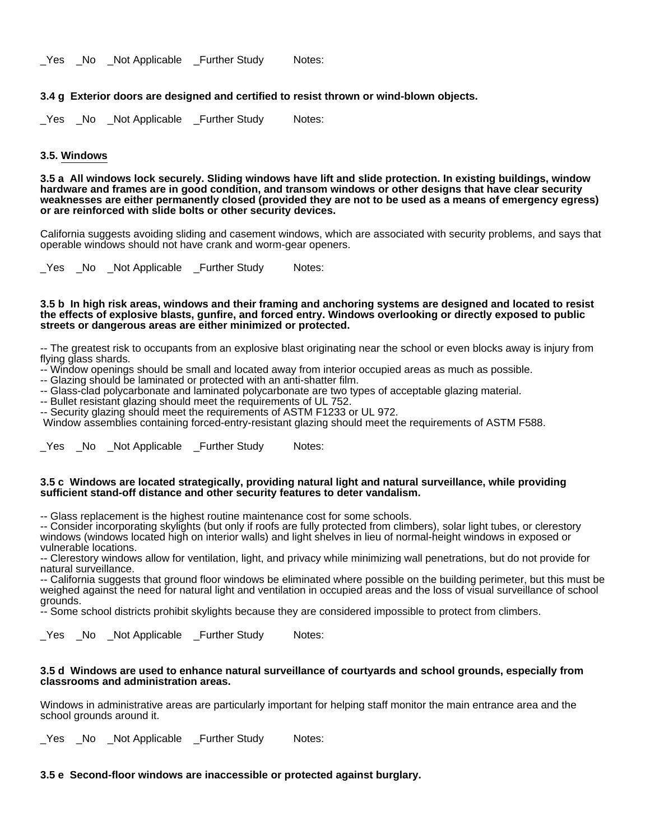## **3.4 g Exterior doors are designed and certified to resist thrown or wind-blown objects.**

\_Yes \_No \_Not Applicable \_Further Study Notes:

#### **3.5. Windows**

**3.5 a All windows lock securely. Sliding windows have lift and slide protection. In existing buildings, window hardware and frames are in good condition, and transom windows or other designs that have clear security weaknesses are either permanently closed (provided they are not to be used as a means of emergency egress) or are reinforced with slide bolts or other security devices.**

California suggests avoiding sliding and casement windows, which are associated with security problems, and says that operable windows should not have crank and worm-gear openers.

\_Yes \_No \_Not Applicable \_Further Study Notes:

#### **3.5 b In high risk areas, windows and their framing and anchoring systems are designed and located to resist the effects of explosive blasts, gunfire, and forced entry. Windows overlooking or directly exposed to public streets or dangerous areas are either minimized or protected.**

-- The greatest risk to occupants from an explosive blast originating near the school or even blocks away is injury from flying glass shards.

- -- Window openings should be small and located away from interior occupied areas as much as possible.
- -- Glazing should be laminated or protected with an anti-shatter film.
- -- Glass-clad polycarbonate and laminated polycarbonate are two types of acceptable glazing material.
- -- Bullet resistant glazing should meet the requirements of UL 752.

-- Security glazing should meet the requirements of ASTM F1233 or UL 972.

Window assemblies containing forced-entry-resistant glazing should meet the requirements of ASTM F588.

Yes No Not Applicable Further Study Notes:

#### **3.5 c Windows are located strategically, providing natural light and natural surveillance, while providing sufficient stand-off distance and other security features to deter vandalism.**

-- Glass replacement is the highest routine maintenance cost for some schools.

-- Consider incorporating skylights (but only if roofs are fully protected from climbers), solar light tubes, or clerestory windows (windows located high on interior walls) and light shelves in lieu of normal-height windows in exposed or vulnerable locations.

-- Clerestory windows allow for ventilation, light, and privacy while minimizing wall penetrations, but do not provide for natural surveillance.

-- California suggests that ground floor windows be eliminated where possible on the building perimeter, but this must be weighed against the need for natural light and ventilation in occupied areas and the loss of visual surveillance of school grounds.

-- Some school districts prohibit skylights because they are considered impossible to protect from climbers.

\_Yes \_No \_Not Applicable \_Further Study Notes:

#### **3.5 d Windows are used to enhance natural surveillance of courtyards and school grounds, especially from classrooms and administration areas.**

Windows in administrative areas are particularly important for helping staff monitor the main entrance area and the school grounds around it.

Yes No Not Applicable Further Study Notes:

### **3.5 e Second-floor windows are inaccessible or protected against burglary.**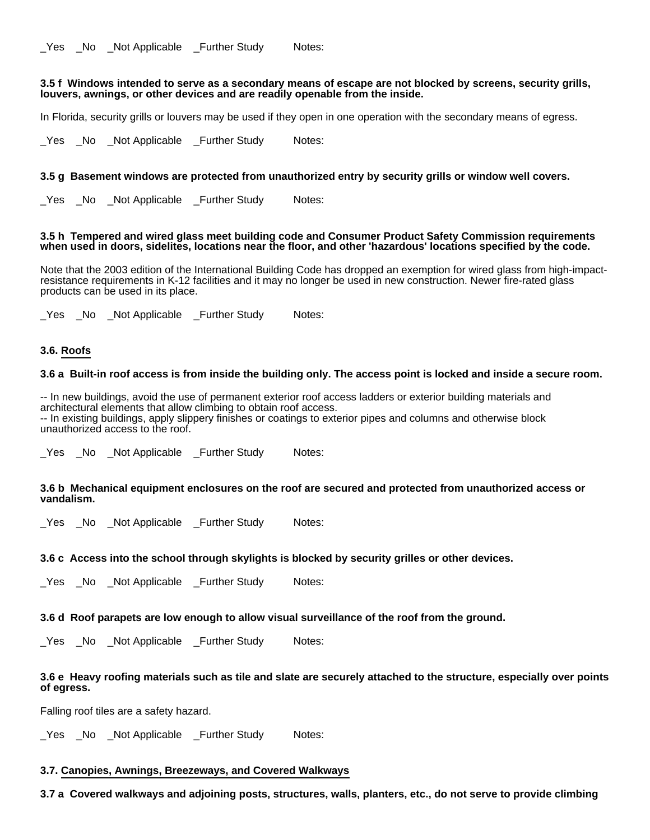# **3.5 f Windows intended to serve as a secondary means of escape are not blocked by screens, security grills, louvers, awnings, or other devices and are readily openable from the inside.**

In Florida, security grills or louvers may be used if they open in one operation with the secondary means of egress.

\_Yes \_No \_Not Applicable \_Further Study Notes:

# **3.5 g Basement windows are protected from unauthorized entry by security grills or window well covers.**

Yes No Not Applicable Further Study Notes:

### **3.5 h Tempered and wired glass meet building code and Consumer Product Safety Commission requirements when used in doors, sidelites, locations near the floor, and other 'hazardous' locations specified by the code.**

Note that the 2003 edition of the International Building Code has dropped an exemption for wired glass from high-impactresistance requirements in K-12 facilities and it may no longer be used in new construction. Newer fire-rated glass products can be used in its place.

\_Yes \_No \_Not Applicable \_Further Study Notes:

# **3.6. Roofs**

### **3.6 a Built-in roof access is from inside the building only. The access point is locked and inside a secure room.**

-- In new buildings, avoid the use of permanent exterior roof access ladders or exterior building materials and architectural elements that allow climbing to obtain roof access. -- In existing buildings, apply slippery finishes or coatings to exterior pipes and columns and otherwise block unauthorized access to the roof.

Yes No Not Applicable Further Study Notes:

# **3.6 b Mechanical equipment enclosures on the roof are secured and protected from unauthorized access or vandalism.**

Yes No Not Applicable Further Study Notes:

### **3.6 c Access into the school through skylights is blocked by security grilles or other devices.**

Yes No Not Applicable Further Study Notes:

### **3.6 d Roof parapets are low enough to allow visual surveillance of the roof from the ground.**

\_Yes \_No \_Not Applicable \_Further Study Notes:

# **3.6 e Heavy roofing materials such as tile and slate are securely attached to the structure, especially over points of egress.**

Falling roof tiles are a safety hazard.

\_Yes \_No \_Not Applicable \_Further Study Notes:

# **3.7. Canopies, Awnings, Breezeways, and Covered Walkways**

**3.7 a Covered walkways and adjoining posts, structures, walls, planters, etc., do not serve to provide climbing**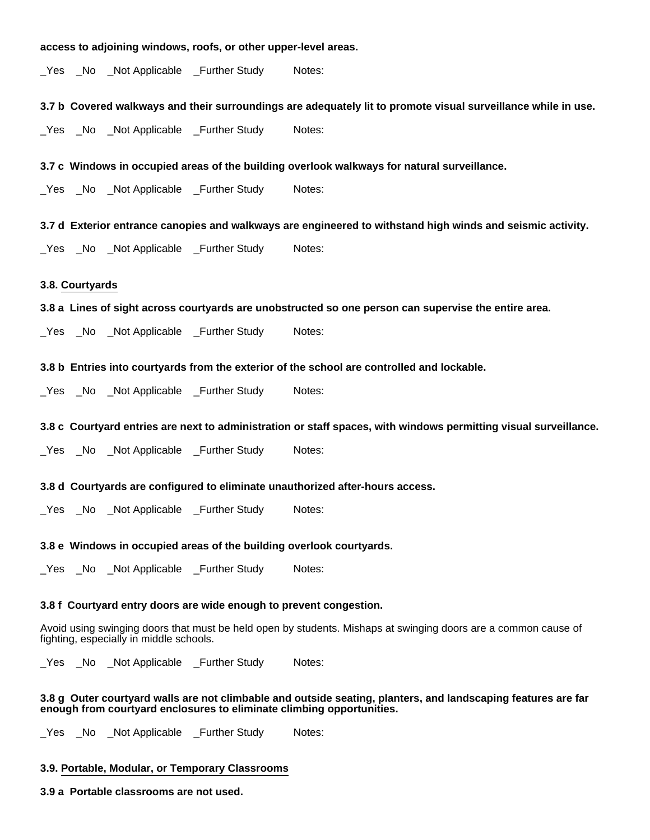#### **access to adjoining windows, roofs, or other upper-level areas.**

\_Yes \_No \_Not Applicable \_Further Study Notes:

**3.7 b Covered walkways and their surroundings are adequately lit to promote visual surveillance while in use.**

Yes No Not Applicable Further Study Notes:

**3.7 c Windows in occupied areas of the building overlook walkways for natural surveillance.**

\_Yes \_No \_Not Applicable \_Further Study Notes:

**3.7 d Exterior entrance canopies and walkways are engineered to withstand high winds and seismic activity.**

Yes No Not Applicable Further Study Notes:

# **3.8. Courtyards**

**3.8 a Lines of sight across courtyards are unobstructed so one person can supervise the entire area.**

\_Yes \_No \_Not Applicable \_Further Study Notes:

#### **3.8 b Entries into courtyards from the exterior of the school are controlled and lockable.**

\_Yes \_No \_Not Applicable \_Further Study Notes:

#### **3.8 c Courtyard entries are next to administration or staff spaces, with windows permitting visual surveillance.**

\_Yes \_No \_Not Applicable \_Further Study Notes:

#### **3.8 d Courtyards are configured to eliminate unauthorized after-hours access.**

Yes No Not Applicable Further Study Notes:

#### **3.8 e Windows in occupied areas of the building overlook courtyards.**

\_Yes \_No \_Not Applicable \_Further Study Notes:

#### **3.8 f Courtyard entry doors are wide enough to prevent congestion.**

Avoid using swinging doors that must be held open by students. Mishaps at swinging doors are a common cause of fighting, especially in middle schools.

Yes No Not Applicable Further Study Notes:

# **3.8 g Outer courtyard walls are not climbable and outside seating, planters, and landscaping features are far enough from courtyard enclosures to eliminate climbing opportunities.**

\_Yes \_No \_Not Applicable \_Further Study Notes:

# **3.9. Portable, Modular, or Temporary Classrooms**

#### **3.9 a Portable classrooms are not used.**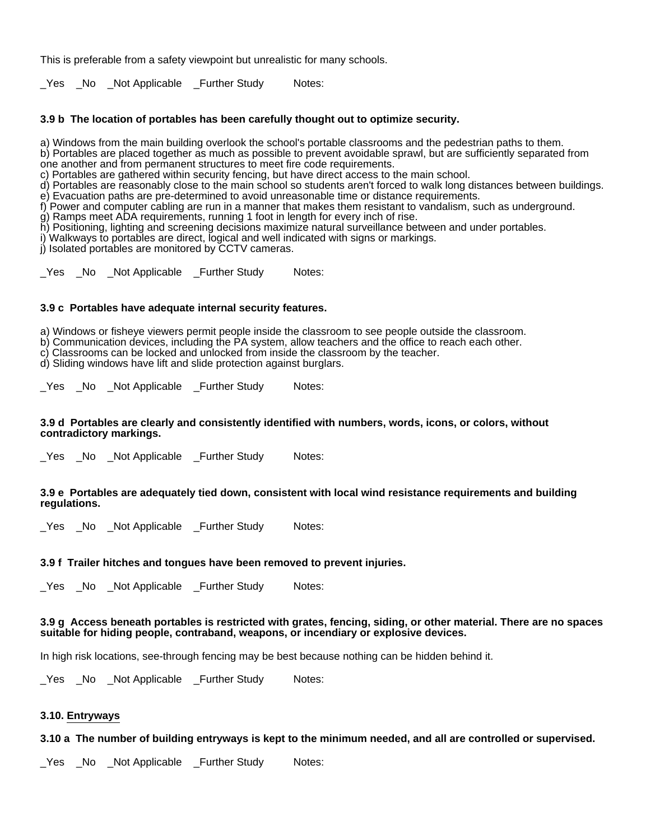This is preferable from a safety viewpoint but unrealistic for many schools.

Yes No Not Applicable Further Study Notes:

# **3.9 b The location of portables has been carefully thought out to optimize security.**

a) Windows from the main building overlook the school's portable classrooms and the pedestrian paths to them.

b) Portables are placed together as much as possible to prevent avoidable sprawl, but are sufficiently separated from one another and from permanent structures to meet fire code requirements.

c) Portables are gathered within security fencing, but have direct access to the main school.

d) Portables are reasonably close to the main school so students aren't forced to walk long distances between buildings. e) Evacuation paths are pre-determined to avoid unreasonable time or distance requirements.

f) Power and computer cabling are run in a manner that makes them resistant to vandalism, such as underground.

g) Ramps meet ADA requirements, running 1 foot in length for every inch of rise.

h) Positioning, lighting and screening decisions maximize natural surveillance between and under portables.

i) Walkways to portables are direct, logical and well indicated with signs or markings.

j) Isolated portables are monitored by CCTV cameras.

\_Yes \_No \_Not Applicable \_Further Study Notes:

# **3.9 c Portables have adequate internal security features.**

a) Windows or fisheye viewers permit people inside the classroom to see people outside the classroom.

b) Communication devices, including the PA system, allow teachers and the office to reach each other.

c) Classrooms can be locked and unlocked from inside the classroom by the teacher.

d) Sliding windows have lift and slide protection against burglars.

\_Yes \_No \_Not Applicable \_Further Study Notes:

### **3.9 d Portables are clearly and consistently identified with numbers, words, icons, or colors, without contradictory markings.**

\_Yes \_No \_Not Applicable \_Further Study Notes:

### **3.9 e Portables are adequately tied down, consistent with local wind resistance requirements and building regulations.**

\_Yes \_No \_Not Applicable \_Further Study Notes:

# **3.9 f Trailer hitches and tongues have been removed to prevent injuries.**

\_Yes \_No \_Not Applicable \_Further Study Notes:

# **3.9 g Access beneath portables is restricted with grates, fencing, siding, or other material. There are no spaces suitable for hiding people, contraband, weapons, or incendiary or explosive devices.**

In high risk locations, see-through fencing may be best because nothing can be hidden behind it.

\_Yes \_No \_Not Applicable \_Further Study Notes:

# **3.10. Entryways**

**3.10 a The number of building entryways is kept to the minimum needed, and all are controlled or supervised.**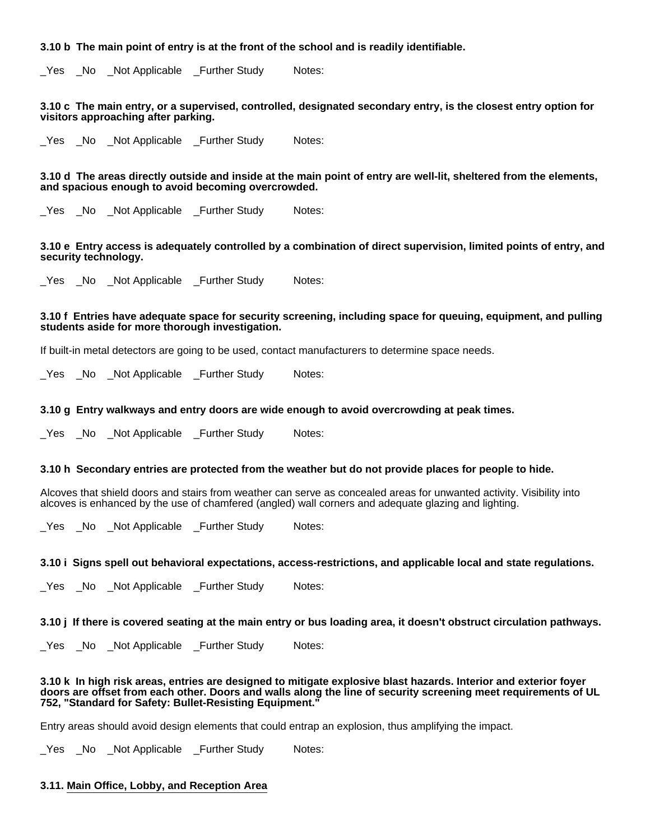# **3.10 b The main point of entry is at the front of the school and is readily identifiable.**

\_Yes \_No \_Not Applicable \_Further Study Notes:

**3.10 c The main entry, or a supervised, controlled, designated secondary entry, is the closest entry option for visitors approaching after parking.**

\_Yes \_No \_Not Applicable \_Further Study Notes:

**3.10 d The areas directly outside and inside at the main point of entry are well-lit, sheltered from the elements, and spacious enough to avoid becoming overcrowded.**

Yes No Not Applicable Further Study Notes:

**3.10 e Entry access is adequately controlled by a combination of direct supervision, limited points of entry, and security technology.**

\_Yes \_No \_Not Applicable \_Further Study Notes:

### **3.10 f Entries have adequate space for security screening, including space for queuing, equipment, and pulling students aside for more thorough investigation.**

If built-in metal detectors are going to be used, contact manufacturers to determine space needs.

\_Yes \_No \_Not Applicable \_Further Study Notes:

#### **3.10 g Entry walkways and entry doors are wide enough to avoid overcrowding at peak times.**

\_Yes \_No \_Not Applicable \_Further Study Notes:

#### **3.10 h Secondary entries are protected from the weather but do not provide places for people to hide.**

Alcoves that shield doors and stairs from weather can serve as concealed areas for unwanted activity. Visibility into alcoves is enhanced by the use of chamfered (angled) wall corners and adequate glazing and lighting.

\_Yes \_No \_Not Applicable \_Further Study Notes:

#### **3.10 i Signs spell out behavioral expectations, access-restrictions, and applicable local and state regulations.**

Yes No Not Applicable Further Study Notes:

**3.10 j If there is covered seating at the main entry or bus loading area, it doesn't obstruct circulation pathways.**

\_Yes \_No \_Not Applicable \_Further Study Notes:

**3.10 k In high risk areas, entries are designed to mitigate explosive blast hazards. Interior and exterior foyer doors are offset from each other. Doors and walls along the line of security screening meet requirements of UL 752, "Standard for Safety: Bullet-Resisting Equipment."**

Entry areas should avoid design elements that could entrap an explosion, thus amplifying the impact.

\_Yes \_No \_Not Applicable \_Further Study Notes:

#### **3.11. Main Office, Lobby, and Reception Area**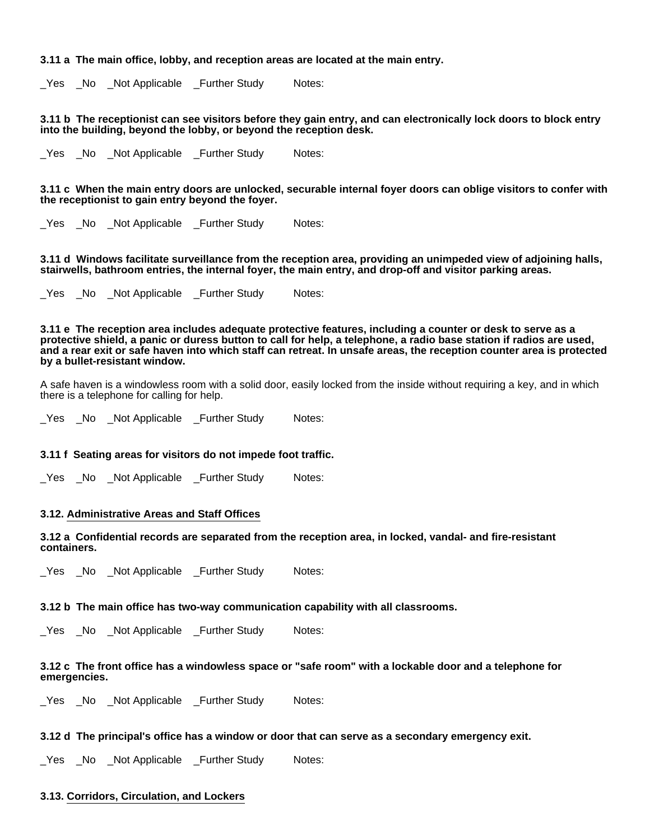#### **3.11 a The main office, lobby, and reception areas are located at the main entry.**

Yes No Not Applicable Further Study Notes:

**3.11 b The receptionist can see visitors before they gain entry, and can electronically lock doors to block entry into the building, beyond the lobby, or beyond the reception desk.**

Yes No Not Applicable Further Study Notes:

**3.11 c When the main entry doors are unlocked, securable internal foyer doors can oblige visitors to confer with the receptionist to gain entry beyond the foyer.**

Yes No Not Applicable Further Study Notes:

**3.11 d Windows facilitate surveillance from the reception area, providing an unimpeded view of adjoining halls, stairwells, bathroom entries, the internal foyer, the main entry, and drop-off and visitor parking areas.**

Yes No Not Applicable Further Study Notes:

**3.11 e The reception area includes adequate protective features, including a counter or desk to serve as a protective shield, a panic or duress button to call for help, a telephone, a radio base station if radios are used, and a rear exit or safe haven into which staff can retreat. In unsafe areas, the reception counter area is protected by a bullet-resistant window.**

A safe haven is a windowless room with a solid door, easily locked from the inside without requiring a key, and in which there is a telephone for calling for help.

\_Yes \_No \_Not Applicable \_Further Study Notes:

### **3.11 f Seating areas for visitors do not impede foot traffic.**

\_Yes \_No \_Not Applicable \_Further Study Notes:

#### **3.12. Administrative Areas and Staff Offices**

**3.12 a Confidential records are separated from the reception area, in locked, vandal- and fire-resistant containers.**

\_Yes \_No \_Not Applicable \_Further Study Notes:

#### **3.12 b The main office has two-way communication capability with all classrooms.**

\_Yes \_No \_Not Applicable \_Further Study Notes:

### **3.12 c The front office has a windowless space or "safe room" with a lockable door and a telephone for emergencies.**

\_Yes \_No \_Not Applicable \_Further Study Notes:

#### **3.12 d The principal's office has a window or door that can serve as a secondary emergency exit.**

Yes No Not Applicable Further Study Notes:

#### **3.13. Corridors, Circulation, and Lockers**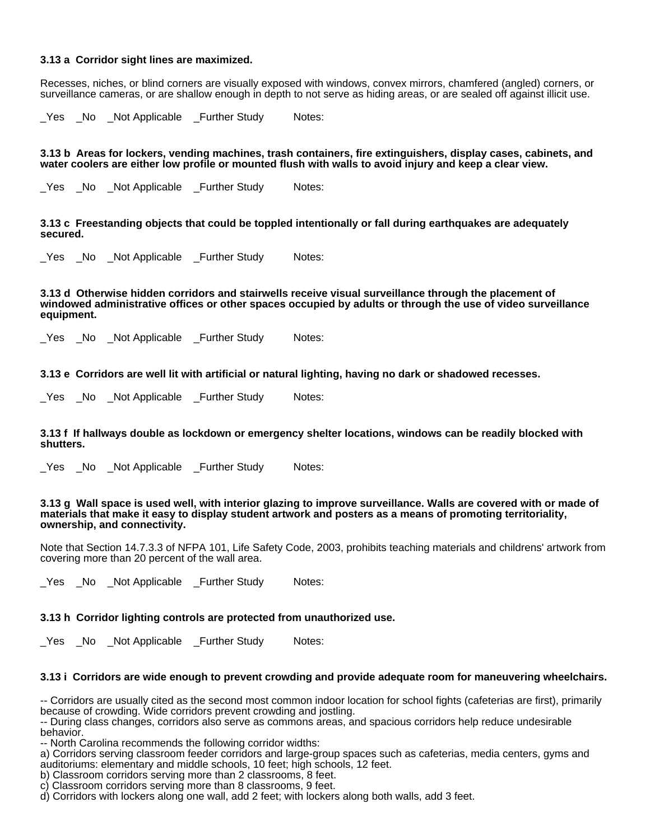# **3.13 a Corridor sight lines are maximized.**

Recesses, niches, or blind corners are visually exposed with windows, convex mirrors, chamfered (angled) corners, or surveillance cameras, or are shallow enough in depth to not serve as hiding areas, or are sealed off against illicit use.

Yes No Not Applicable Further Study Notes:

**3.13 b Areas for lockers, vending machines, trash containers, fire extinguishers, display cases, cabinets, and water coolers are either low profile or mounted flush with walls to avoid injury and keep a clear view.**

Yes No Not Applicable Further Study Notes:

**3.13 c Freestanding objects that could be toppled intentionally or fall during earthquakes are adequately secured.**

Yes No Not Applicable Further Study Notes:

**3.13 d Otherwise hidden corridors and stairwells receive visual surveillance through the placement of windowed administrative offices or other spaces occupied by adults or through the use of video surveillance equipment.**

\_Yes \_No \_Not Applicable \_Further Study Notes:

**3.13 e Corridors are well lit with artificial or natural lighting, having no dark or shadowed recesses.**

\_Yes \_No \_Not Applicable \_Further Study Notes:

**3.13 f If hallways double as lockdown or emergency shelter locations, windows can be readily blocked with shutters.**

Yes No Not Applicable Further Study Notes:

**3.13 g Wall space is used well, with interior glazing to improve surveillance. Walls are covered with or made of materials that make it easy to display student artwork and posters as a means of promoting territoriality, ownership, and connectivity.**

Note that Section 14.7.3.3 of NFPA 101, Life Safety Code, 2003, prohibits teaching materials and childrens' artwork from covering more than 20 percent of the wall area.

Yes No Not Applicable Further Study Notes:

### **3.13 h Corridor lighting controls are protected from unauthorized use.**

\_Yes \_No \_Not Applicable \_Further Study Notes:

### **3.13 i Corridors are wide enough to prevent crowding and provide adequate room for maneuvering wheelchairs.**

-- Corridors are usually cited as the second most common indoor location for school fights (cafeterias are first), primarily because of crowding. Wide corridors prevent crowding and jostling.

-- During class changes, corridors also serve as commons areas, and spacious corridors help reduce undesirable behavior.

-- North Carolina recommends the following corridor widths:

a) Corridors serving classroom feeder corridors and large-group spaces such as cafeterias, media centers, gyms and auditoriums: elementary and middle schools, 10 feet; high schools, 12 feet.

b) Classroom corridors serving more than 2 classrooms, 8 feet.

d) Corridors with lockers along one wall, add 2 feet; with lockers along both walls, add 3 feet.

c) Classroom corridors serving more than 8 classrooms, 9 feet.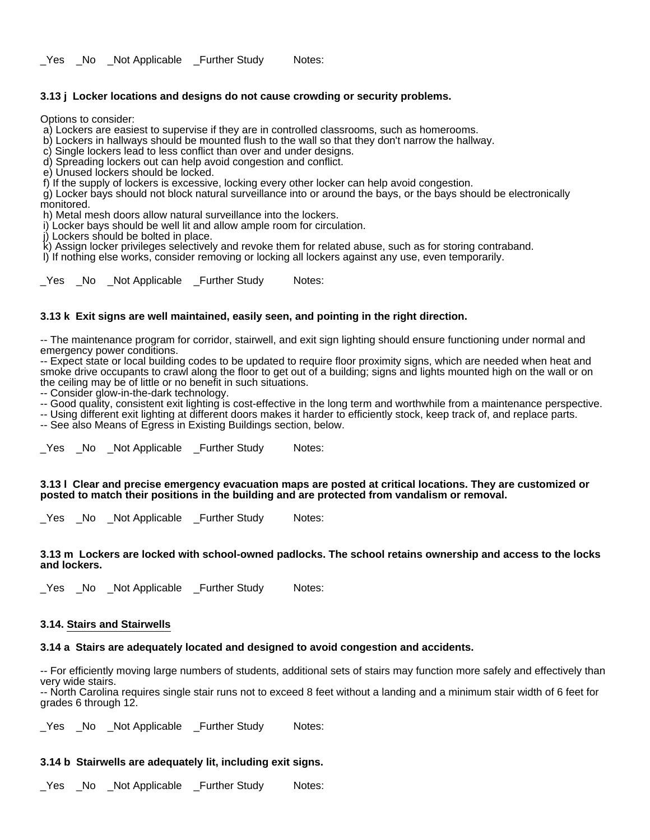Yes No Not Applicable Further Study Notes:

# **3.13 j Locker locations and designs do not cause crowding or security problems.**

Options to consider:

a) Lockers are easiest to supervise if they are in controlled classrooms, such as homerooms.

b) Lockers in hallways should be mounted flush to the wall so that they don't narrow the hallway.

c) Single lockers lead to less conflict than over and under designs.

d) Spreading lockers out can help avoid congestion and conflict.

e) Unused lockers should be locked.

f) If the supply of lockers is excessive, locking every other locker can help avoid congestion.

 g) Locker bays should not block natural surveillance into or around the bays, or the bays should be electronically monitored.

h) Metal mesh doors allow natural surveillance into the lockers.

i) Locker bays should be well lit and allow ample room for circulation.

j) Lockers should be bolted in place.

 k) Assign locker privileges selectively and revoke them for related abuse, such as for storing contraband. l) If nothing else works, consider removing or locking all lockers against any use, even temporarily.

\_Yes \_No \_Not Applicable \_Further Study Notes:

# **3.13 k Exit signs are well maintained, easily seen, and pointing in the right direction.**

-- The maintenance program for corridor, stairwell, and exit sign lighting should ensure functioning under normal and emergency power conditions.

-- Expect state or local building codes to be updated to require floor proximity signs, which are needed when heat and smoke drive occupants to crawl along the floor to get out of a building; signs and lights mounted high on the wall or on the ceiling may be of little or no benefit in such situations.

-- Consider glow-in-the-dark technology.

-- Good quality, consistent exit lighting is cost-effective in the long term and worthwhile from a maintenance perspective.

-- Using different exit lighting at different doors makes it harder to efficiently stock, keep track of, and replace parts. -- See also Means of Egress in Existing Buildings section, below.

\_Yes \_No \_Not Applicable \_Further Study Notes:

**3.13 l Clear and precise emergency evacuation maps are posted at critical locations. They are customized or posted to match their positions in the building and are protected from vandalism or removal.**

\_Yes \_No \_Not Applicable \_Further Study Notes:

### **3.13 m Lockers are locked with school-owned padlocks. The school retains ownership and access to the locks and lockers.**

\_Yes \_No \_Not Applicable \_Further Study Notes:

### **3.14. Stairs and Stairwells**

# **3.14 a Stairs are adequately located and designed to avoid congestion and accidents.**

-- For efficiently moving large numbers of students, additional sets of stairs may function more safely and effectively than very wide stairs.

-- North Carolina requires single stair runs not to exceed 8 feet without a landing and a minimum stair width of 6 feet for grades 6 through 12.

Yes No Not Applicable Further Study Notes:

# **3.14 b Stairwells are adequately lit, including exit signs.**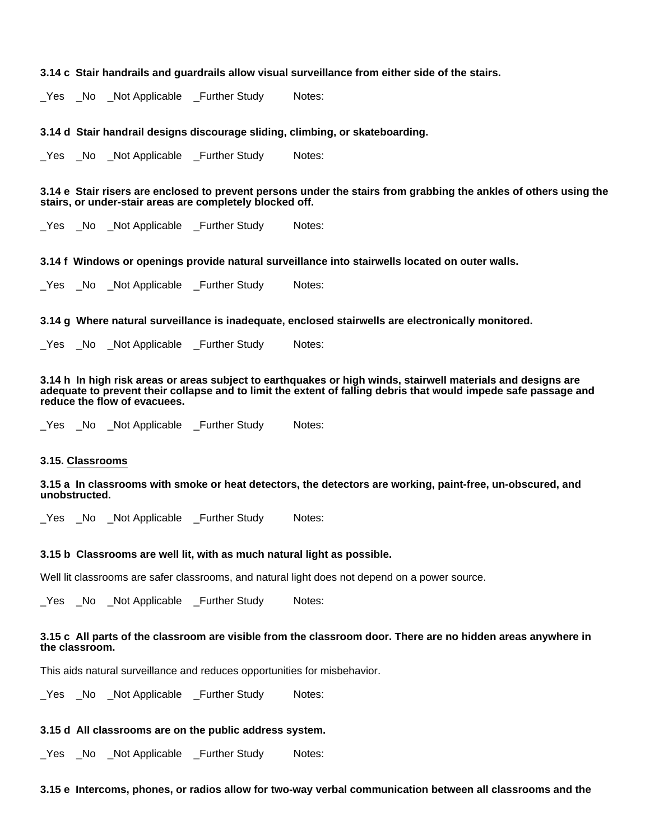#### **3.14 c Stair handrails and guardrails allow visual surveillance from either side of the stairs.**

\_Yes \_No \_Not Applicable \_Further Study Notes:

#### **3.14 d Stair handrail designs discourage sliding, climbing, or skateboarding.**

\_Yes \_No \_Not Applicable \_Further Study Notes:

# **3.14 e Stair risers are enclosed to prevent persons under the stairs from grabbing the ankles of others using the stairs, or under-stair areas are completely blocked off.**

\_Yes \_No \_Not Applicable \_Further Study Notes:

### **3.14 f Windows or openings provide natural surveillance into stairwells located on outer walls.**

\_Yes \_No \_Not Applicable \_Further Study Notes:

**3.14 g Where natural surveillance is inadequate, enclosed stairwells are electronically monitored.**

Yes No Not Applicable Further Study Notes:

**3.14 h In high risk areas or areas subject to earthquakes or high winds, stairwell materials and designs are adequate to prevent their collapse and to limit the extent of falling debris that would impede safe passage and reduce the flow of evacuees.**

\_Yes \_No \_Not Applicable \_Further Study Notes:

#### **3.15. Classrooms**

**3.15 a In classrooms with smoke or heat detectors, the detectors are working, paint-free, un-obscured, and unobstructed.**

\_Yes \_No \_Not Applicable \_Further Study Notes:

#### **3.15 b Classrooms are well lit, with as much natural light as possible.**

Well lit classrooms are safer classrooms, and natural light does not depend on a power source.

\_Yes \_No \_Not Applicable \_Further Study Notes:

### **3.15 c All parts of the classroom are visible from the classroom door. There are no hidden areas anywhere in the classroom.**

This aids natural surveillance and reduces opportunities for misbehavior.

\_Yes \_No \_Not Applicable \_Further Study Notes:

#### **3.15 d All classrooms are on the public address system.**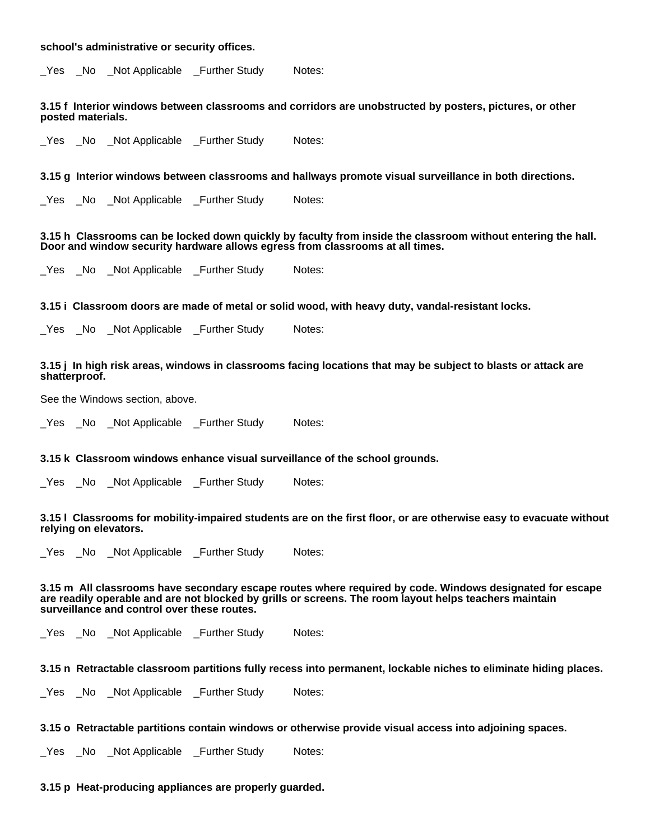### **school's administrative or security offices.**

\_Yes \_No \_Not Applicable \_Further Study Notes:

#### **3.15 f Interior windows between classrooms and corridors are unobstructed by posters, pictures, or other posted materials.**

\_Yes \_No \_Not Applicable \_Further Study Notes:

**3.15 g Interior windows between classrooms and hallways promote visual surveillance in both directions.**

Yes No Not Applicable Further Study Notes:

**3.15 h Classrooms can be locked down quickly by faculty from inside the classroom without entering the hall. Door and window security hardware allows egress from classrooms at all times.**

Yes No Not Applicable Further Study Notes:

**3.15 i Classroom doors are made of metal or solid wood, with heavy duty, vandal-resistant locks.**

\_Yes \_No \_Not Applicable \_Further Study Notes:

#### **3.15 j In high risk areas, windows in classrooms facing locations that may be subject to blasts or attack are shatterproof.**

See the Windows section, above.

Yes No Not Applicable Further Study Notes:

**3.15 k Classroom windows enhance visual surveillance of the school grounds.**

\_Yes \_No \_Not Applicable \_Further Study Notes:

**3.15 l Classrooms for mobility-impaired students are on the first floor, or are otherwise easy to evacuate without relying on elevators.**

\_Yes \_No \_Not Applicable \_Further Study Notes:

**3.15 m All classrooms have secondary escape routes where required by code. Windows designated for escape are readily operable and are not blocked by grills or screens. The room layout helps teachers maintain surveillance and control over these routes.**

Yes No Not Applicable Further Study Notes:

**3.15 n Retractable classroom partitions fully recess into permanent, lockable niches to eliminate hiding places.**

\_Yes \_No \_Not Applicable \_Further Study Notes:

**3.15 o Retractable partitions contain windows or otherwise provide visual access into adjoining spaces.**

\_Yes \_No \_Not Applicable \_Further Study Notes:

#### **3.15 p Heat-producing appliances are properly guarded.**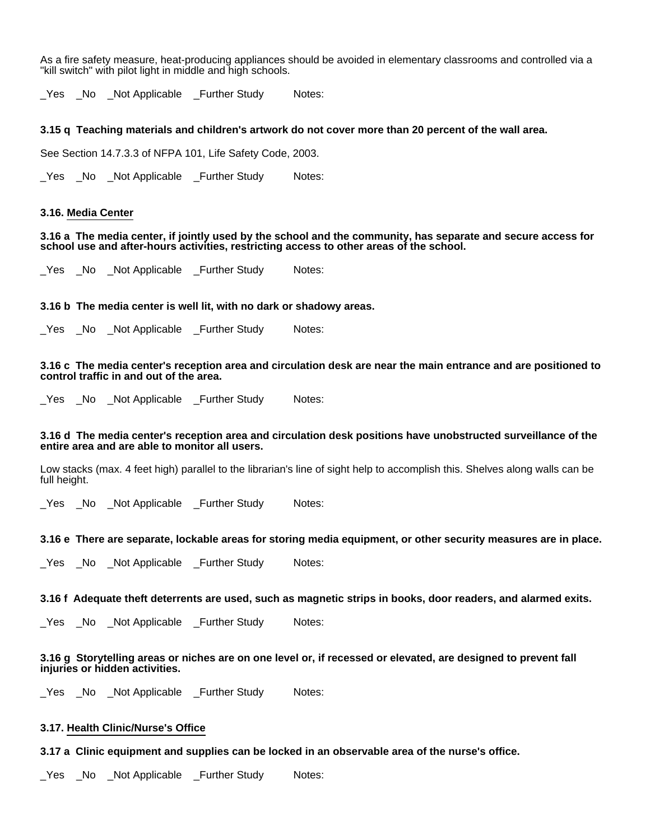As a fire safety measure, heat-producing appliances should be avoided in elementary classrooms and controlled via a "kill switch" with pilot light in middle and high schools.

\_Yes \_No \_Not Applicable \_Further Study Notes:

#### **3.15 q Teaching materials and children's artwork do not cover more than 20 percent of the wall area.**

See Section 14.7.3.3 of NFPA 101, Life Safety Code, 2003.

\_Yes \_No \_Not Applicable \_Further Study Notes:

#### **3.16. Media Center**

**3.16 a The media center, if jointly used by the school and the community, has separate and secure access for school use and after-hours activities, restricting access to other areas of the school.**

Yes No Not Applicable Further Study Notes:

# **3.16 b The media center is well lit, with no dark or shadowy areas.**

\_Yes \_No \_Not Applicable \_Further Study Notes:

**3.16 c The media center's reception area and circulation desk are near the main entrance and are positioned to control traffic in and out of the area.**

\_Yes \_No \_Not Applicable \_Further Study Notes:

#### **3.16 d The media center's reception area and circulation desk positions have unobstructed surveillance of the entire area and are able to monitor all users.**

Low stacks (max. 4 feet high) parallel to the librarian's line of sight help to accomplish this. Shelves along walls can be full height.

Yes No Not Applicable Further Study Notes:

#### **3.16 e There are separate, lockable areas for storing media equipment, or other security measures are in place.**

\_Yes \_No \_Not Applicable \_Further Study Notes:

**3.16 f Adequate theft deterrents are used, such as magnetic strips in books, door readers, and alarmed exits.**

\_Yes \_No \_Not Applicable \_Further Study Notes:

# **3.16 g Storytelling areas or niches are on one level or, if recessed or elevated, are designed to prevent fall injuries or hidden activities.**

\_Yes \_No \_Not Applicable \_Further Study Notes:

# **3.17. Health Clinic/Nurse's Office**

**3.17 a Clinic equipment and supplies can be locked in an observable area of the nurse's office.**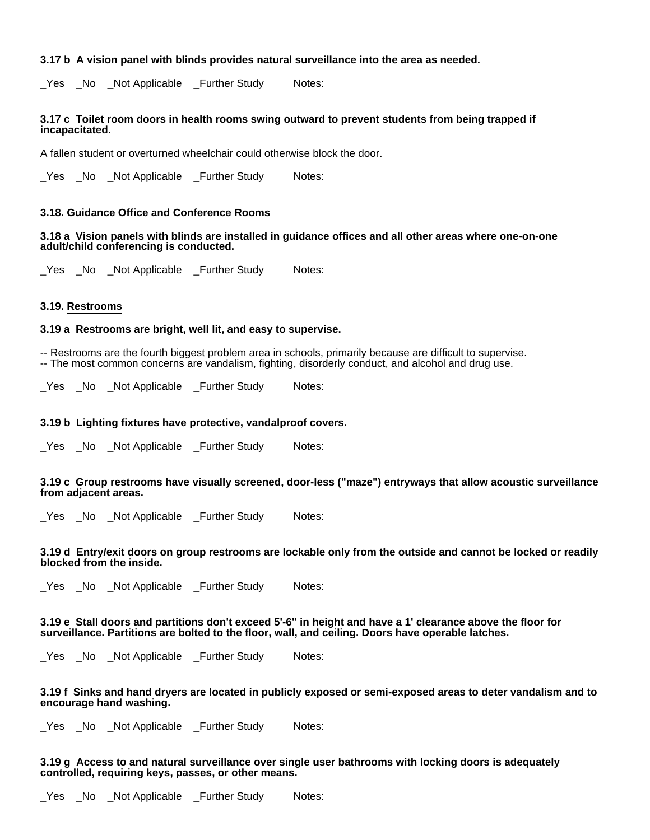# **3.17 b A vision panel with blinds provides natural surveillance into the area as needed.**

Yes No Not Applicable Further Study Notes:

# **3.17 c Toilet room doors in health rooms swing outward to prevent students from being trapped if incapacitated.**

A fallen student or overturned wheelchair could otherwise block the door.

\_Yes \_No \_Not Applicable \_Further Study Notes:

### **3.18. Guidance Office and Conference Rooms**

# **3.18 a Vision panels with blinds are installed in guidance offices and all other areas where one-on-one adult/child conferencing is conducted.**

\_Yes \_No \_Not Applicable \_Further Study Notes:

### **3.19. Restrooms**

# **3.19 a Restrooms are bright, well lit, and easy to supervise.**

-- Restrooms are the fourth biggest problem area in schools, primarily because are difficult to supervise. -- The most common concerns are vandalism, fighting, disorderly conduct, and alcohol and drug use.

\_Yes \_No \_Not Applicable \_Further Study Notes:

### **3.19 b Lighting fixtures have protective, vandalproof covers.**

Yes No Not Applicable Further Study Notes:

**3.19 c Group restrooms have visually screened, door-less ("maze") entryways that allow acoustic surveillance from adjacent areas.**

\_Yes \_No \_Not Applicable \_Further Study Notes:

### **3.19 d Entry/exit doors on group restrooms are lockable only from the outside and cannot be locked or readily blocked from the inside.**

\_Yes \_No \_Not Applicable \_Further Study Notes:

**3.19 e Stall doors and partitions don't exceed 5'-6" in height and have a 1' clearance above the floor for surveillance. Partitions are bolted to the floor, wall, and ceiling. Doors have operable latches.**

Yes No Not Applicable Further Study Notes:

### **3.19 f Sinks and hand dryers are located in publicly exposed or semi-exposed areas to deter vandalism and to encourage hand washing.**

Yes No Not Applicable Further Study Notes:

# **3.19 g Access to and natural surveillance over single user bathrooms with locking doors is adequately controlled, requiring keys, passes, or other means.**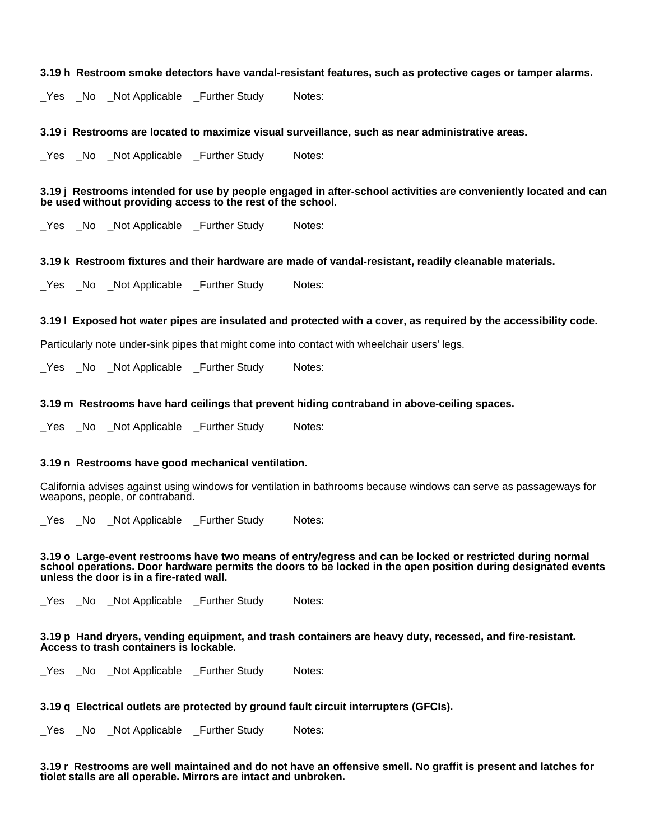#### **3.19 h Restroom smoke detectors have vandal-resistant features, such as protective cages or tamper alarms.**

\_Yes \_No \_Not Applicable \_Further Study Notes:

#### **3.19 i Restrooms are located to maximize visual surveillance, such as near administrative areas.**

Yes No Not Applicable Further Study Notes:

**3.19 j Restrooms intended for use by people engaged in after-school activities are conveniently located and can be used without providing access to the rest of the school.**

\_Yes \_No \_Not Applicable \_Further Study Notes:

### **3.19 k Restroom fixtures and their hardware are made of vandal-resistant, readily cleanable materials.**

\_Yes \_No \_Not Applicable \_Further Study Notes:

### **3.19 l Exposed hot water pipes are insulated and protected with a cover, as required by the accessibility code.**

Particularly note under-sink pipes that might come into contact with wheelchair users' legs.

\_Yes \_No \_Not Applicable \_Further Study Notes:

#### **3.19 m Restrooms have hard ceilings that prevent hiding contraband in above-ceiling spaces.**

Yes No Not Applicable Further Study Notes:

#### **3.19 n Restrooms have good mechanical ventilation.**

California advises against using windows for ventilation in bathrooms because windows can serve as passageways for weapons, people, or contraband.

\_Yes \_No \_Not Applicable \_Further Study Notes:

**3.19 o Large-event restrooms have two means of entry/egress and can be locked or restricted during normal school operations. Door hardware permits the doors to be locked in the open position during designated events unless the door is in a fire-rated wall.**

\_Yes \_No \_Not Applicable \_Further Study Notes:

#### **3.19 p Hand dryers, vending equipment, and trash containers are heavy duty, recessed, and fire-resistant. Access to trash containers is lockable.**

\_Yes \_No \_Not Applicable \_Further Study Notes:

# **3.19 q Electrical outlets are protected by ground fault circuit interrupters (GFCIs).**

\_Yes \_No \_Not Applicable \_Further Study Notes:

**3.19 r Restrooms are well maintained and do not have an offensive smell. No graffit is present and latches for tiolet stalls are all operable. Mirrors are intact and unbroken.**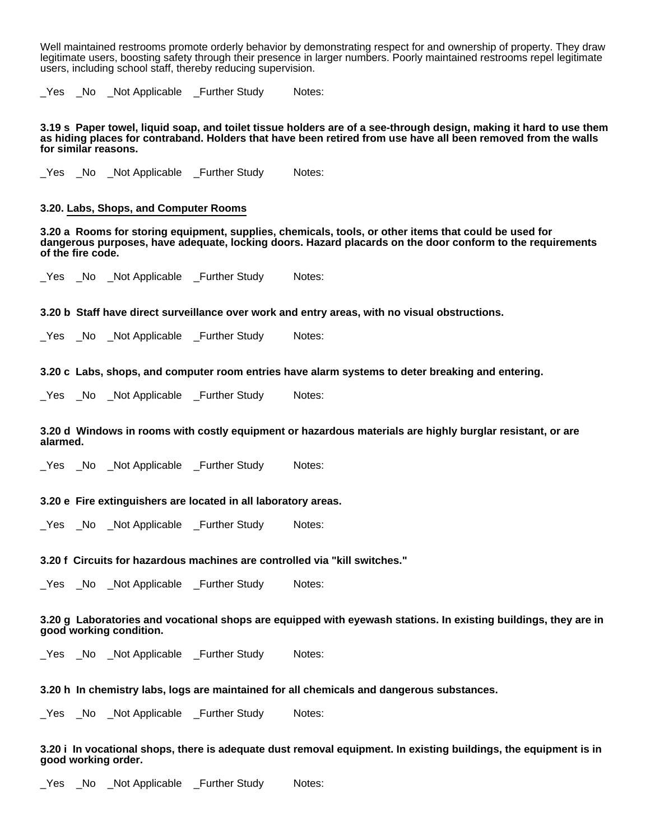Well maintained restrooms promote orderly behavior by demonstrating respect for and ownership of property. They draw legitimate users, boosting safety through their presence in larger numbers. Poorly maintained restrooms repel legitimate users, including school staff, thereby reducing supervision.

Yes No Not Applicable Further Study Notes:

**3.19 s Paper towel, liquid soap, and toilet tissue holders are of a see-through design, making it hard to use them as hiding places for contraband. Holders that have been retired from use have all been removed from the walls for similar reasons.**

\_Yes \_No \_Not Applicable \_Further Study Notes:

# **3.20. Labs, Shops, and Computer Rooms**

**3.20 a Rooms for storing equipment, supplies, chemicals, tools, or other items that could be used for dangerous purposes, have adequate, locking doors. Hazard placards on the door conform to the requirements of the fire code.**

Yes No Not Applicable Further Study Notes:

**3.20 b Staff have direct surveillance over work and entry areas, with no visual obstructions.**

\_Yes \_No \_Not Applicable \_Further Study Notes:

**3.20 c Labs, shops, and computer room entries have alarm systems to deter breaking and entering.**

\_Yes \_No \_Not Applicable \_Further Study Notes:

**3.20 d Windows in rooms with costly equipment or hazardous materials are highly burglar resistant, or are alarmed.**

\_Yes \_No \_Not Applicable \_Further Study Notes:

# **3.20 e Fire extinguishers are located in all laboratory areas.**

\_Yes \_No \_Not Applicable \_Further Study Notes:

## **3.20 f Circuits for hazardous machines are controlled via "kill switches."**

\_Yes \_No \_Not Applicable \_Further Study Notes:

# **3.20 g Laboratories and vocational shops are equipped with eyewash stations. In existing buildings, they are in good working condition.**

\_Yes \_No \_Not Applicable \_Further Study Notes:

### **3.20 h In chemistry labs, logs are maintained for all chemicals and dangerous substances.**

Yes No Not Applicable Further Study Notes:

#### **3.20 i In vocational shops, there is adequate dust removal equipment. In existing buildings, the equipment is in good working order.**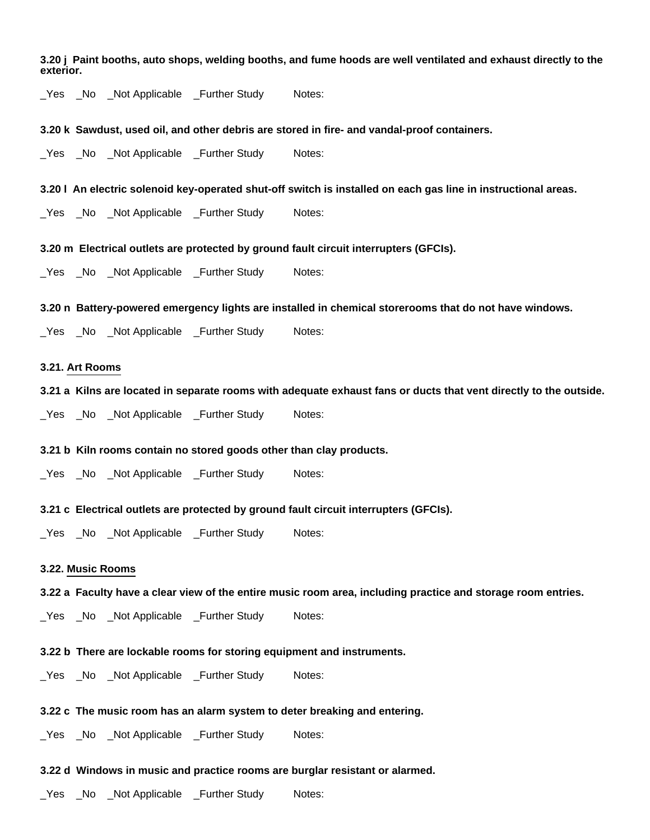**3.20 j Paint booths, auto shops, welding booths, and fume hoods are well ventilated and exhaust directly to the exterior.**

\_Yes \_No \_Not Applicable \_Further Study Notes:

#### **3.20 k Sawdust, used oil, and other debris are stored in fire- and vandal-proof containers.**

Yes No Not Applicable Further Study Notes:

#### **3.20 l An electric solenoid key-operated shut-off switch is installed on each gas line in instructional areas.**

\_Yes \_No \_Not Applicable \_Further Study Notes:

**3.20 m Electrical outlets are protected by ground fault circuit interrupters (GFCIs).**

\_Yes \_No \_Not Applicable \_Further Study Notes:

**3.20 n Battery-powered emergency lights are installed in chemical storerooms that do not have windows.**

\_Yes \_No \_Not Applicable \_Further Study Notes:

# **3.21. Art Rooms**

**3.21 a Kilns are located in separate rooms with adequate exhaust fans or ducts that vent directly to the outside.**

\_Yes \_No \_Not Applicable \_Further Study Notes:

#### **3.21 b Kiln rooms contain no stored goods other than clay products.**

\_Yes \_No \_Not Applicable \_Further Study Notes:

**3.21 c Electrical outlets are protected by ground fault circuit interrupters (GFCIs).**

\_Yes \_No \_Not Applicable \_Further Study Notes:

#### **3.22. Music Rooms**

#### **3.22 a Faculty have a clear view of the entire music room area, including practice and storage room entries.**

\_Yes \_No \_Not Applicable \_Further Study Notes:

#### **3.22 b There are lockable rooms for storing equipment and instruments.**

\_Yes \_No \_Not Applicable \_Further Study Notes:

# **3.22 c The music room has an alarm system to deter breaking and entering.**

\_Yes \_No \_Not Applicable \_Further Study Notes:

## **3.22 d Windows in music and practice rooms are burglar resistant or alarmed.**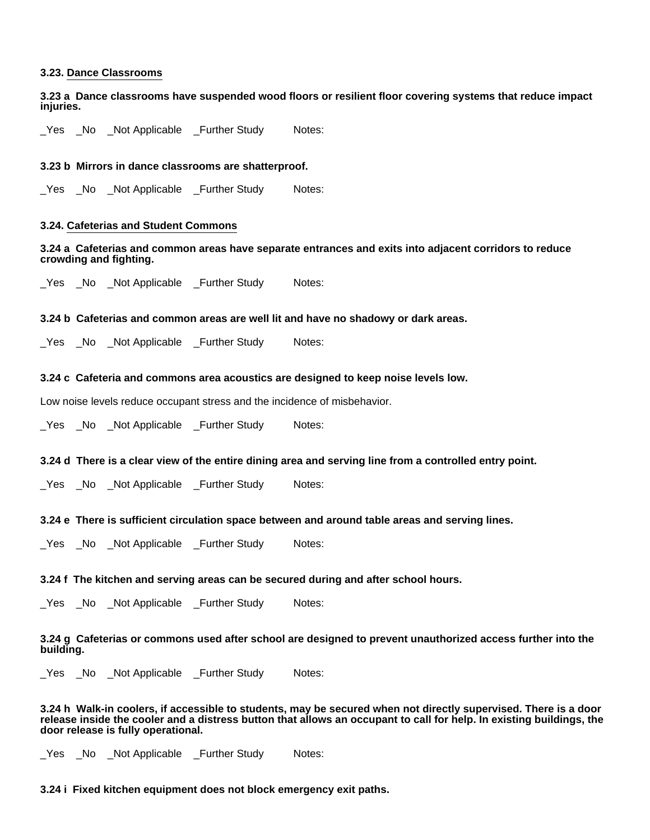# **3.23. Dance Classrooms**

**3.23 a Dance classrooms have suspended wood floors or resilient floor covering systems that reduce impact injuries.**

Yes No Not Applicable Further Study Notes:

# **3.23 b Mirrors in dance classrooms are shatterproof.**

\_Yes \_No \_Not Applicable \_Further Study Notes:

# **3.24. Cafeterias and Student Commons**

**3.24 a Cafeterias and common areas have separate entrances and exits into adjacent corridors to reduce crowding and fighting.**

\_Yes \_No \_Not Applicable \_Further Study Notes:

### **3.24 b Cafeterias and common areas are well lit and have no shadowy or dark areas.**

\_Yes \_No \_Not Applicable \_Further Study Notes:

# **3.24 c Cafeteria and commons area acoustics are designed to keep noise levels low.**

Low noise levels reduce occupant stress and the incidence of misbehavior.

\_Yes \_No \_Not Applicable \_Further Study Notes:

### **3.24 d There is a clear view of the entire dining area and serving line from a controlled entry point.**

\_Yes \_No \_Not Applicable \_Further Study Notes:

### **3.24 e There is sufficient circulation space between and around table areas and serving lines.**

\_Yes \_No \_Not Applicable \_Further Study Notes:

### **3.24 f The kitchen and serving areas can be secured during and after school hours.**

\_Yes \_No \_Not Applicable \_Further Study Notes:

### **3.24 g Cafeterias or commons used after school are designed to prevent unauthorized access further into the building.**

\_Yes \_No \_Not Applicable \_Further Study Notes:

**3.24 h Walk-in coolers, if accessible to students, may be secured when not directly supervised. There is a door release inside the cooler and a distress button that allows an occupant to call for help. In existing buildings, the door release is fully operational.**

\_Yes \_No \_Not Applicable \_Further Study Notes:

### **3.24 i Fixed kitchen equipment does not block emergency exit paths.**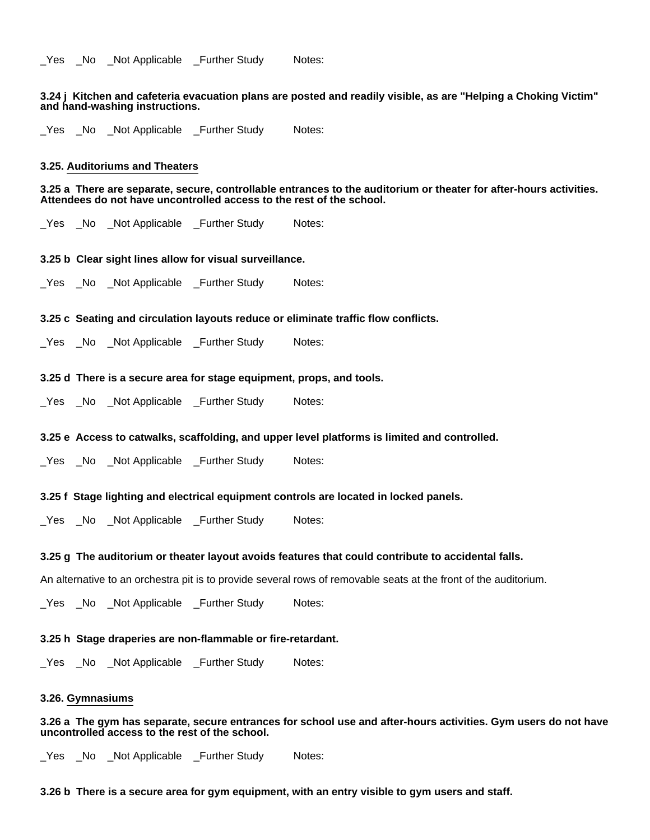### **3.24 j Kitchen and cafeteria evacuation plans are posted and readily visible, as are "Helping a Choking Victim" and hand-washing instructions.**

Yes No Not Applicable Further Study Notes:

# **3.25. Auditoriums and Theaters**

#### **3.25 a There are separate, secure, controllable entrances to the auditorium or theater for after-hours activities. Attendees do not have uncontrolled access to the rest of the school.**

Yes No Not Applicable Further Study Notes:

#### **3.25 b Clear sight lines allow for visual surveillance.**

\_Yes \_No \_Not Applicable \_Further Study Notes:

#### **3.25 c Seating and circulation layouts reduce or eliminate traffic flow conflicts.**

\_Yes \_No \_Not Applicable \_Further Study Notes:

# **3.25 d There is a secure area for stage equipment, props, and tools.**

\_Yes \_No \_Not Applicable \_Further Study Notes:

# **3.25 e Access to catwalks, scaffolding, and upper level platforms is limited and controlled.**

\_Yes \_No \_Not Applicable \_Further Study Notes:

#### **3.25 f Stage lighting and electrical equipment controls are located in locked panels.**

\_Yes \_No \_Not Applicable \_Further Study Notes:

#### **3.25 g The auditorium or theater layout avoids features that could contribute to accidental falls.**

An alternative to an orchestra pit is to provide several rows of removable seats at the front of the auditorium.

\_Yes \_No \_Not Applicable \_Further Study Notes:

#### **3.25 h Stage draperies are non-flammable or fire-retardant.**

\_Yes \_No \_Not Applicable \_Further Study Notes:

#### **3.26. Gymnasiums**

**3.26 a The gym has separate, secure entrances for school use and after-hours activities. Gym users do not have uncontrolled access to the rest of the school.**

\_Yes \_No \_Not Applicable \_Further Study Notes:

**3.26 b There is a secure area for gym equipment, with an entry visible to gym users and staff.**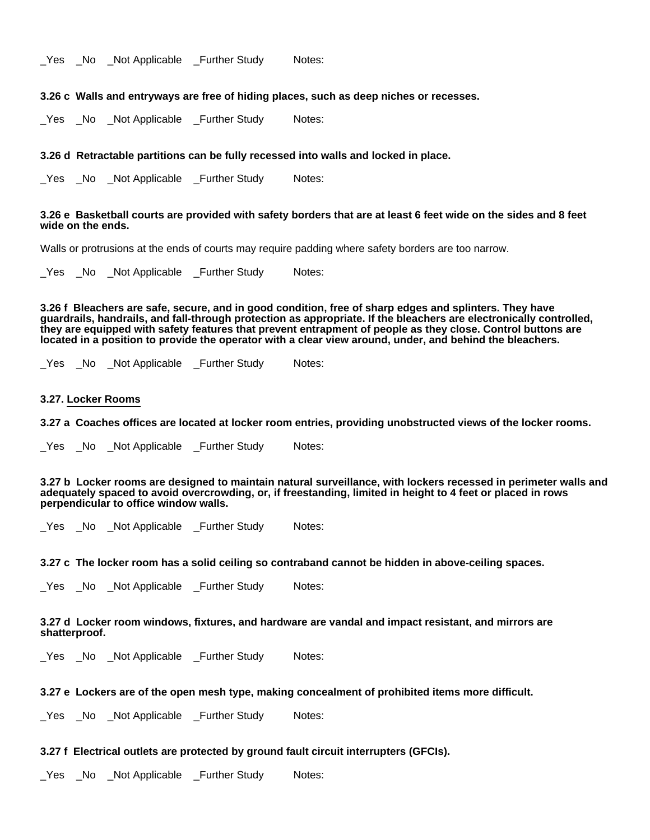Yes No Not Applicable Further Study Notes:

#### **3.26 c Walls and entryways are free of hiding places, such as deep niches or recesses.**

\_Yes \_No \_Not Applicable \_Further Study Notes:

#### **3.26 d Retractable partitions can be fully recessed into walls and locked in place.**

Yes No Not Applicable Further Study Notes:

#### **3.26 e Basketball courts are provided with safety borders that are at least 6 feet wide on the sides and 8 feet wide on the ends.**

Walls or protrusions at the ends of courts may require padding where safety borders are too narrow.

\_Yes \_No \_Not Applicable \_Further Study Notes:

**3.26 f Bleachers are safe, secure, and in good condition, free of sharp edges and splinters. They have guardrails, handrails, and fall-through protection as appropriate. If the bleachers are electronically controlled, they are equipped with safety features that prevent entrapment of people as they close. Control buttons are located in a position to provide the operator with a clear view around, under, and behind the bleachers.**

Yes No Not Applicable Further Study Notes:

#### **3.27. Locker Rooms**

- **3.27 a Coaches offices are located at locker room entries, providing unobstructed views of the locker rooms.**
- Yes No Not Applicable Further Study Notes:

**3.27 b Locker rooms are designed to maintain natural surveillance, with lockers recessed in perimeter walls and adequately spaced to avoid overcrowding, or, if freestanding, limited in height to 4 feet or placed in rows perpendicular to office window walls.**

\_Yes \_No \_Not Applicable \_Further Study Notes:

**3.27 c The locker room has a solid ceiling so contraband cannot be hidden in above-ceiling spaces.**

\_Yes \_No \_Not Applicable \_Further Study Notes:

**3.27 d Locker room windows, fixtures, and hardware are vandal and impact resistant, and mirrors are shatterproof.**

\_Yes \_No \_Not Applicable \_Further Study Notes:

#### **3.27 e Lockers are of the open mesh type, making concealment of prohibited items more difficult.**

\_Yes \_No \_Not Applicable \_Further Study Notes:

**3.27 f Electrical outlets are protected by ground fault circuit interrupters (GFCIs).**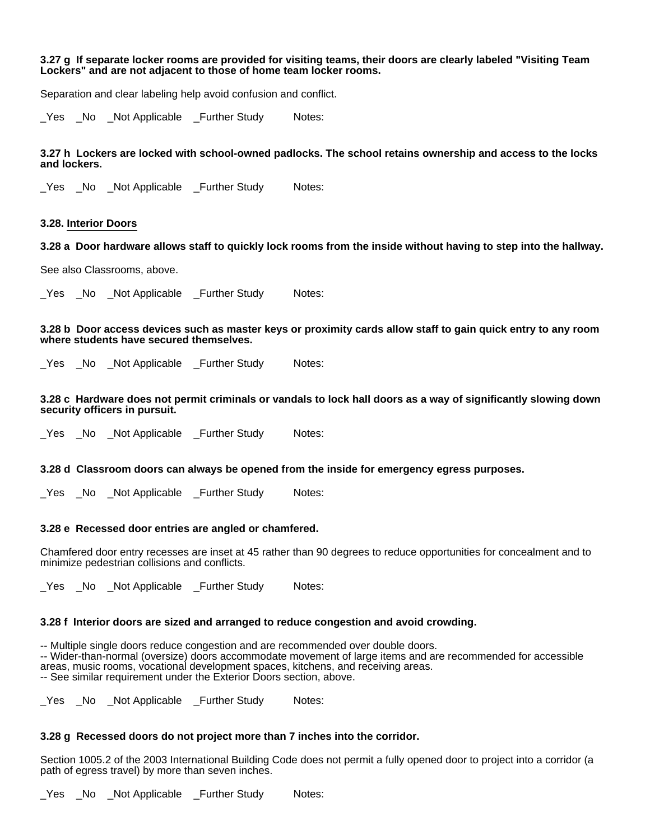# **3.27 g If separate locker rooms are provided for visiting teams, their doors are clearly labeled "Visiting Team Lockers" and are not adjacent to those of home team locker rooms.**

Separation and clear labeling help avoid confusion and conflict.

\_Yes \_No \_Not Applicable \_Further Study Notes:

**3.27 h Lockers are locked with school-owned padlocks. The school retains ownership and access to the locks and lockers.**

Yes No Not Applicable Further Study Notes:

#### **3.28. Interior Doors**

**3.28 a Door hardware allows staff to quickly lock rooms from the inside without having to step into the hallway.**

See also Classrooms, above.

\_Yes \_No \_Not Applicable \_Further Study Notes:

**3.28 b Door access devices such as master keys or proximity cards allow staff to gain quick entry to any room where students have secured themselves.**

Yes No Not Applicable Further Study Notes:

**3.28 c Hardware does not permit criminals or vandals to lock hall doors as a way of significantly slowing down security officers in pursuit.**

Yes No Not Applicable Further Study Notes:

#### **3.28 d Classroom doors can always be opened from the inside for emergency egress purposes.**

Yes No Not Applicable Further Study Notes:

### **3.28 e Recessed door entries are angled or chamfered.**

Chamfered door entry recesses are inset at 45 rather than 90 degrees to reduce opportunities for concealment and to minimize pedestrian collisions and conflicts.

Yes No Not Applicable Further Study Notes:

### **3.28 f Interior doors are sized and arranged to reduce congestion and avoid crowding.**

-- Multiple single doors reduce congestion and are recommended over double doors.

-- Wider-than-normal (oversize) doors accommodate movement of large items and are recommended for accessible areas, music rooms, vocational development spaces, kitchens, and receiving areas. -- See similar requirement under the Exterior Doors section, above.

\_Yes \_No \_Not Applicable \_Further Study Notes:

### **3.28 g Recessed doors do not project more than 7 inches into the corridor.**

Section 1005.2 of the 2003 International Building Code does not permit a fully opened door to project into a corridor (a path of egress travel) by more than seven inches.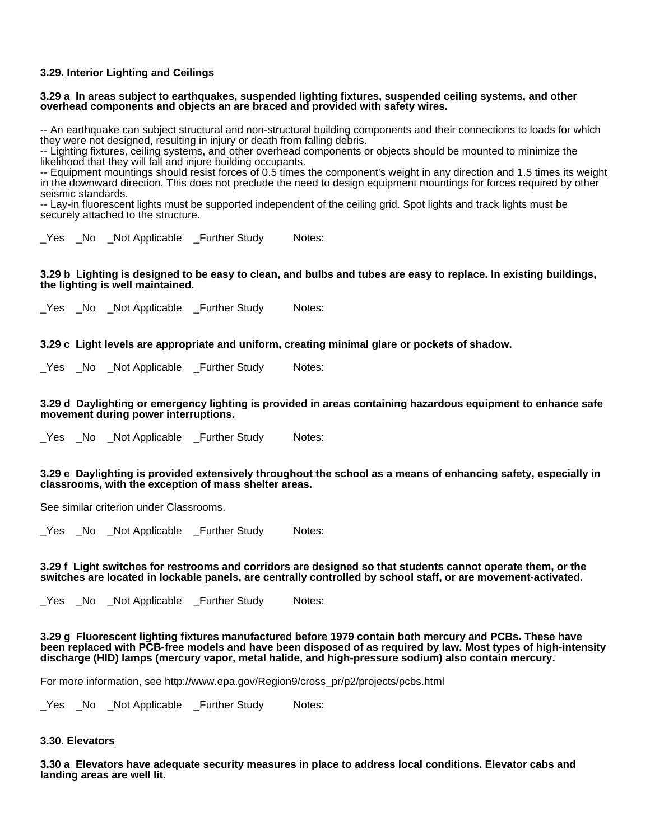# **3.29. Interior Lighting and Ceilings**

# **3.29 a In areas subject to earthquakes, suspended lighting fixtures, suspended ceiling systems, and other overhead components and objects an are braced and provided with safety wires.**

-- An earthquake can subject structural and non-structural building components and their connections to loads for which they were not designed, resulting in injury or death from falling debris.

-- Lighting fixtures, ceiling systems, and other overhead components or objects should be mounted to minimize the likelihood that they will fall and injure building occupants.

-- Equipment mountings should resist forces of 0.5 times the component's weight in any direction and 1.5 times its weight in the downward direction. This does not preclude the need to design equipment mountings for forces required by other seismic standards.

-- Lay-in fluorescent lights must be supported independent of the ceiling grid. Spot lights and track lights must be securely attached to the structure.

\_Yes \_No \_Not Applicable \_Further Study Notes:

# **3.29 b Lighting is designed to be easy to clean, and bulbs and tubes are easy to replace. In existing buildings, the lighting is well maintained.**

\_Yes \_No \_Not Applicable \_Further Study Notes:

# **3.29 c Light levels are appropriate and uniform, creating minimal glare or pockets of shadow.**

\_Yes \_No \_Not Applicable \_Further Study Notes:

### **3.29 d Daylighting or emergency lighting is provided in areas containing hazardous equipment to enhance safe movement during power interruptions.**

\_Yes \_No \_Not Applicable \_Further Study Notes:

# **3.29 e Daylighting is provided extensively throughout the school as a means of enhancing safety, especially in classrooms, with the exception of mass shelter areas.**

See similar criterion under Classrooms.

\_Yes \_No \_Not Applicable \_Further Study Notes:

### **3.29 f Light switches for restrooms and corridors are designed so that students cannot operate them, or the switches are located in lockable panels, are centrally controlled by school staff, or are movement-activated.**

\_Yes \_No \_Not Applicable \_Further Study Notes:

**3.29 g Fluorescent lighting fixtures manufactured before 1979 contain both mercury and PCBs. These have been replaced with PCB-free models and have been disposed of as required by law. Most types of high-intensity discharge (HID) lamps (mercury vapor, metal halide, and high-pressure sodium) also contain mercury.**

For more information, see http://www.epa.gov/Region9/cross\_pr/p2/projects/pcbs.html

\_Yes \_No \_Not Applicable \_Further Study Notes:

# **3.30. Elevators**

**3.30 a Elevators have adequate security measures in place to address local conditions. Elevator cabs and landing areas are well lit.**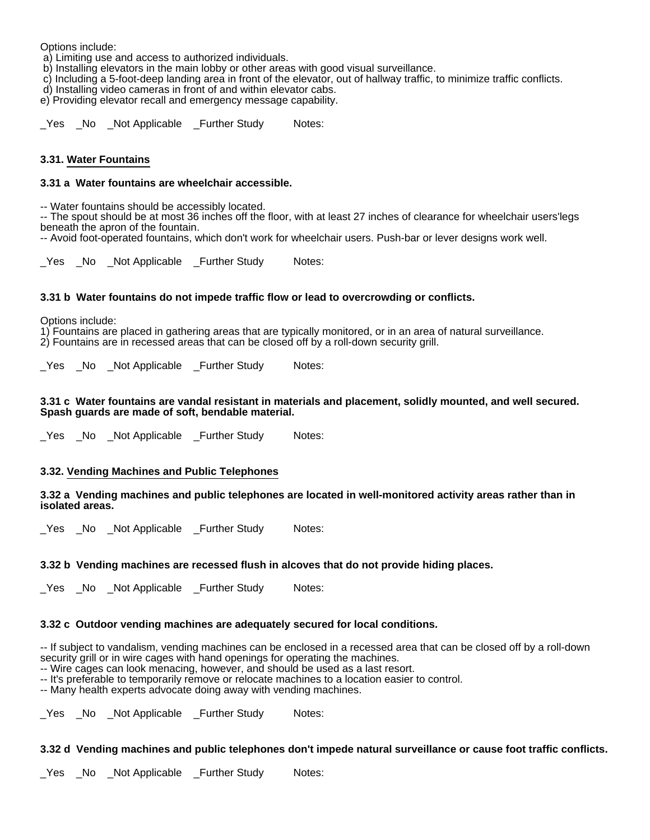Options include:

a) Limiting use and access to authorized individuals.

b) Installing elevators in the main lobby or other areas with good visual surveillance.

c) Including a 5-foot-deep landing area in front of the elevator, out of hallway traffic, to minimize traffic conflicts.

d) Installing video cameras in front of and within elevator cabs.

e) Providing elevator recall and emergency message capability.

\_Yes \_No \_Not Applicable \_Further Study Notes:

# **3.31. Water Fountains**

# **3.31 a Water fountains are wheelchair accessible.**

-- Water fountains should be accessibly located.

-- The spout should be at most 36 inches off the floor, with at least 27 inches of clearance for wheelchair users'legs beneath the apron of the fountain.

-- Avoid foot-operated fountains, which don't work for wheelchair users. Push-bar or lever designs work well.

\_Yes \_No \_Not Applicable \_Further Study Notes:

# **3.31 b Water fountains do not impede traffic flow or lead to overcrowding or conflicts.**

Options include:

1) Fountains are placed in gathering areas that are typically monitored, or in an area of natural surveillance. 2) Fountains are in recessed areas that can be closed off by a roll-down security grill.

Yes No Not Applicable Further Study Notes:

# **3.31 c Water fountains are vandal resistant in materials and placement, solidly mounted, and well secured. Spash guards are made of soft, bendable material.**

\_Yes \_No \_Not Applicable \_Further Study Notes:

# **3.32. Vending Machines and Public Telephones**

### **3.32 a Vending machines and public telephones are located in well-monitored activity areas rather than in isolated areas.**

Yes No Not Applicable Further Study Notes:

# **3.32 b Vending machines are recessed flush in alcoves that do not provide hiding places.**

\_Yes \_No \_Not Applicable \_Further Study Notes:

# **3.32 c Outdoor vending machines are adequately secured for local conditions.**

-- If subject to vandalism, vending machines can be enclosed in a recessed area that can be closed off by a roll-down security grill or in wire cages with hand openings for operating the machines.

-- Wire cages can look menacing, however, and should be used as a last resort.

-- It's preferable to temporarily remove or relocate machines to a location easier to control.

-- Many health experts advocate doing away with vending machines.

Yes No Not Applicable Further Study Notes:

### **3.32 d Vending machines and public telephones don't impede natural surveillance or cause foot traffic conflicts.**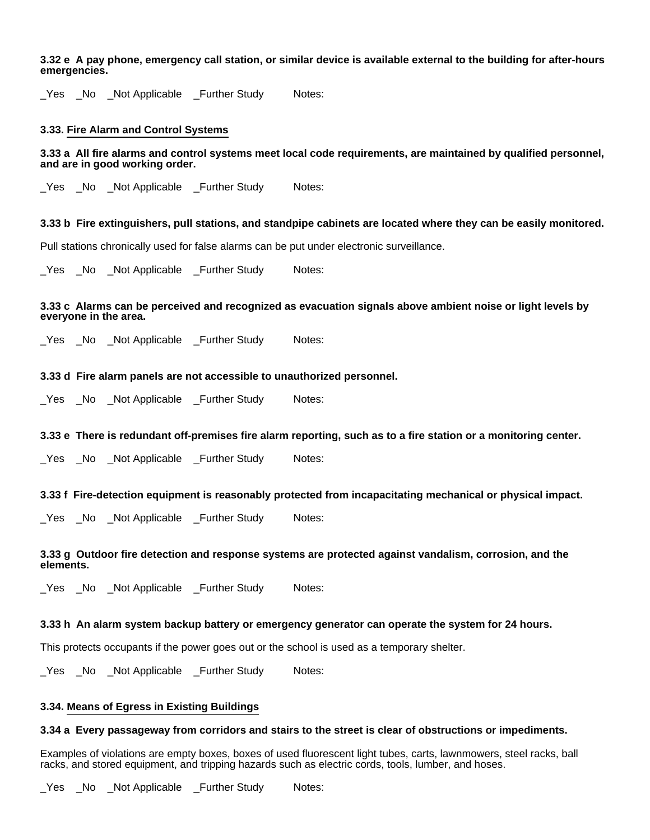**3.32 e A pay phone, emergency call station, or similar device is available external to the building for after-hours emergencies.**

\_Yes \_No \_Not Applicable \_Further Study Notes:

### **3.33. Fire Alarm and Control Systems**

**3.33 a All fire alarms and control systems meet local code requirements, are maintained by qualified personnel, and are in good working order.**

Yes No Not Applicable Further Study Notes:

### **3.33 b Fire extinguishers, pull stations, and standpipe cabinets are located where they can be easily monitored.**

Pull stations chronically used for false alarms can be put under electronic surveillance.

Yes No Not Applicable Further Study Notes:

# **3.33 c Alarms can be perceived and recognized as evacuation signals above ambient noise or light levels by everyone in the area.**

Yes No Not Applicable Further Study Notes:

### **3.33 d Fire alarm panels are not accessible to unauthorized personnel.**

\_Yes \_No \_Not Applicable \_Further Study Notes:

### **3.33 e There is redundant off-premises fire alarm reporting, such as to a fire station or a monitoring center.**

Yes No Not Applicable Further Study Notes:

#### **3.33 f Fire-detection equipment is reasonably protected from incapacitating mechanical or physical impact.**

\_Yes \_No \_Not Applicable \_Further Study Notes:

# **3.33 g Outdoor fire detection and response systems are protected against vandalism, corrosion, and the elements.**

\_Yes \_No \_Not Applicable \_Further Study Notes:

# **3.33 h An alarm system backup battery or emergency generator can operate the system for 24 hours.**

This protects occupants if the power goes out or the school is used as a temporary shelter.

\_Yes \_No \_Not Applicable \_Further Study Notes:

### **3.34. Means of Egress in Existing Buildings**

#### **3.34 a Every passageway from corridors and stairs to the street is clear of obstructions or impediments.**

Examples of violations are empty boxes, boxes of used fluorescent light tubes, carts, lawnmowers, steel racks, ball racks, and stored equipment, and tripping hazards such as electric cords, tools, lumber, and hoses.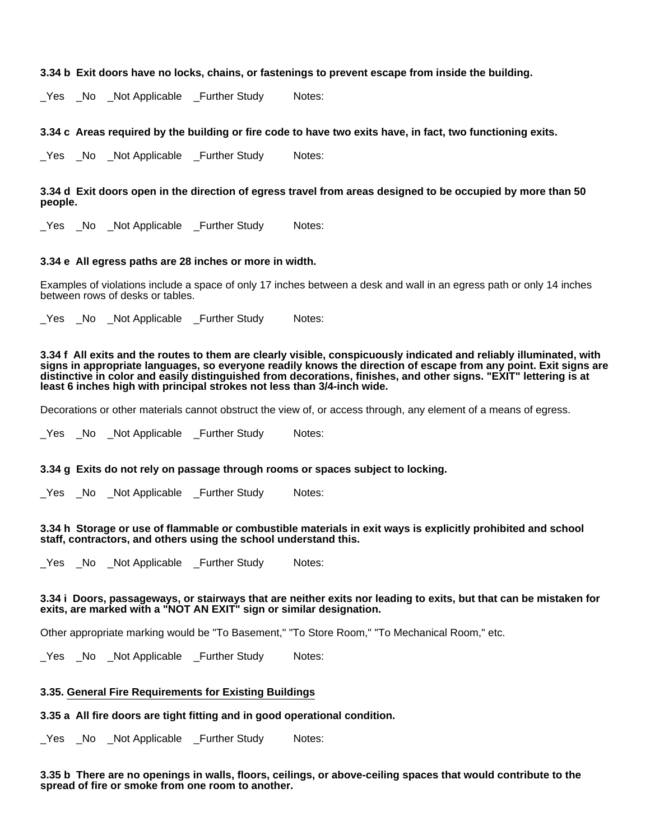# **3.34 b Exit doors have no locks, chains, or fastenings to prevent escape from inside the building.**

\_Yes \_No \_Not Applicable \_Further Study Notes:

# **3.34 c Areas required by the building or fire code to have two exits have, in fact, two functioning exits.**

Yes No Not Applicable Further Study Notes:

# **3.34 d Exit doors open in the direction of egress travel from areas designed to be occupied by more than 50 people.**

Yes No Not Applicable Further Study Notes:

### **3.34 e All egress paths are 28 inches or more in width.**

Examples of violations include a space of only 17 inches between a desk and wall in an egress path or only 14 inches between rows of desks or tables.

Yes No Not Applicable Further Study Notes:

**3.34 f All exits and the routes to them are clearly visible, conspicuously indicated and reliably illuminated, with signs in appropriate languages, so everyone readily knows the direction of escape from any point. Exit signs are distinctive in color and easily distinguished from decorations, finishes, and other signs. "EXIT" lettering is at least 6 inches high with principal strokes not less than 3/4-inch wide.**

Decorations or other materials cannot obstruct the view of, or access through, any element of a means of egress.

Yes No Not Applicable Further Study Notes:

### **3.34 g Exits do not rely on passage through rooms or spaces subject to locking.**

Yes No Not Applicable Further Study Notes:

### **3.34 h Storage or use of flammable or combustible materials in exit ways is explicitly prohibited and school staff, contractors, and others using the school understand this.**

Yes No Not Applicable Further Study Notes:

# **3.34 i Doors, passageways, or stairways that are neither exits nor leading to exits, but that can be mistaken for exits, are marked with a "NOT AN EXIT" sign or similar designation.**

Other appropriate marking would be "To Basement," "To Store Room," "To Mechanical Room," etc.

\_Yes \_No \_Not Applicable \_Further Study Notes:

### **3.35. General Fire Requirements for Existing Buildings**

### **3.35 a All fire doors are tight fitting and in good operational condition.**

Yes No Not Applicable Further Study Notes:

### **3.35 b There are no openings in walls, floors, ceilings, or above-ceiling spaces that would contribute to the spread of fire or smoke from one room to another.**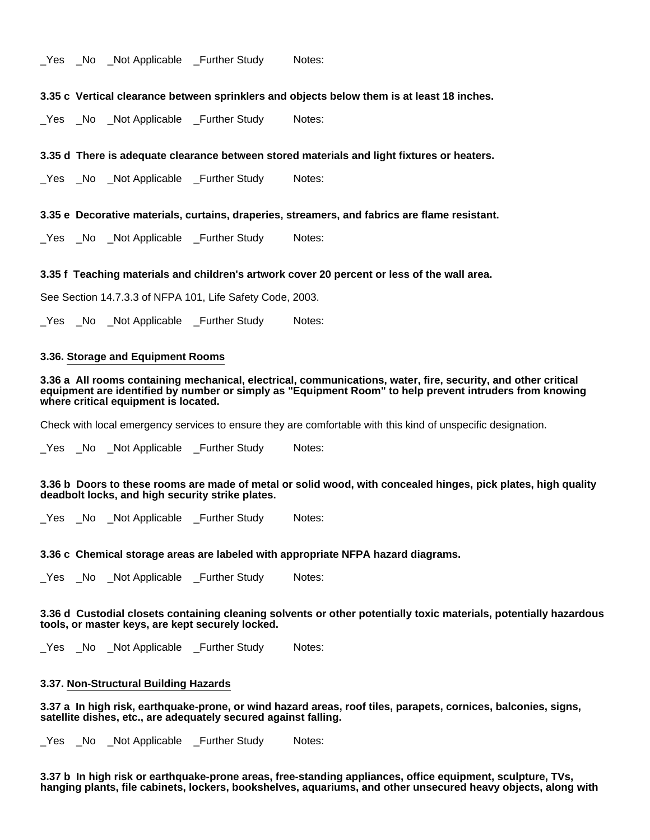Yes No Not Applicable Further Study Notes:

**3.35 c Vertical clearance between sprinklers and objects below them is at least 18 inches.**

\_Yes \_No \_Not Applicable \_Further Study Notes:

**3.35 d There is adequate clearance between stored materials and light fixtures or heaters.**

Yes No Not Applicable Further Study Notes:

**3.35 e Decorative materials, curtains, draperies, streamers, and fabrics are flame resistant.**

\_Yes \_No \_Not Applicable \_Further Study Notes:

**3.35 f Teaching materials and children's artwork cover 20 percent or less of the wall area.**

See Section 14.7.3.3 of NFPA 101, Life Safety Code, 2003.

\_Yes \_No \_Not Applicable \_Further Study Notes:

# **3.36. Storage and Equipment Rooms**

**3.36 a All rooms containing mechanical, electrical, communications, water, fire, security, and other critical equipment are identified by number or simply as "Equipment Room" to help prevent intruders from knowing where critical equipment is located.**

Check with local emergency services to ensure they are comfortable with this kind of unspecific designation.

\_Yes \_No \_Not Applicable \_Further Study Notes:

**3.36 b Doors to these rooms are made of metal or solid wood, with concealed hinges, pick plates, high quality deadbolt locks, and high security strike plates.**

\_Yes \_No \_Not Applicable \_Further Study Notes:

### **3.36 c Chemical storage areas are labeled with appropriate NFPA hazard diagrams.**

\_Yes \_No \_Not Applicable \_Further Study Notes:

**3.36 d Custodial closets containing cleaning solvents or other potentially toxic materials, potentially hazardous tools, or master keys, are kept securely locked.**

\_Yes \_No \_Not Applicable \_Further Study Notes:

# **3.37. Non-Structural Building Hazards**

**3.37 a In high risk, earthquake-prone, or wind hazard areas, roof tiles, parapets, cornices, balconies, signs, satellite dishes, etc., are adequately secured against falling.**

\_Yes \_No \_Not Applicable \_Further Study Notes:

**3.37 b In high risk or earthquake-prone areas, free-standing appliances, office equipment, sculpture, TVs, hanging plants, file cabinets, lockers, bookshelves, aquariums, and other unsecured heavy objects, along with**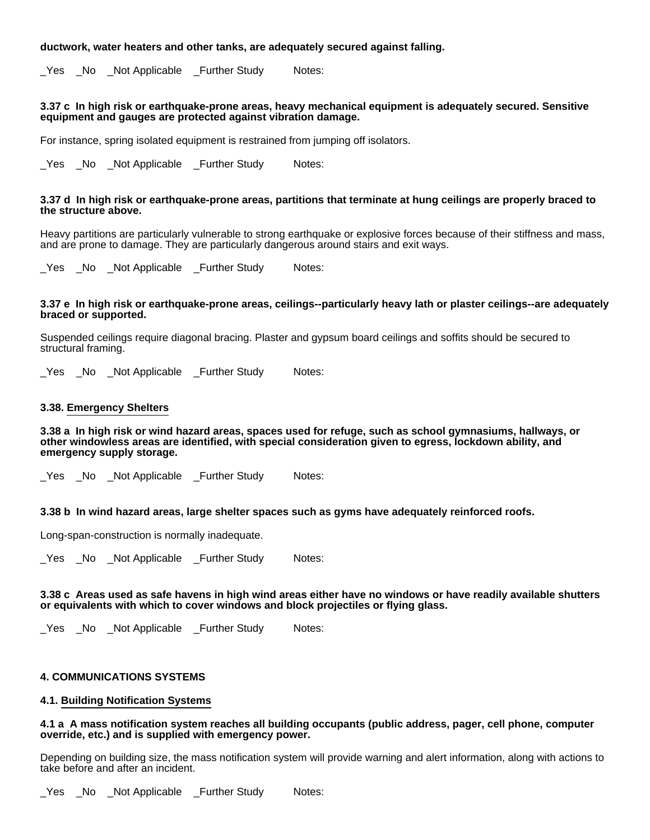# **ductwork, water heaters and other tanks, are adequately secured against falling.**

\_Yes \_No \_Not Applicable \_Further Study Notes:

### **3.37 c In high risk or earthquake-prone areas, heavy mechanical equipment is adequately secured. Sensitive equipment and gauges are protected against vibration damage.**

For instance, spring isolated equipment is restrained from jumping off isolators.

\_Yes \_No \_Not Applicable \_Further Study Notes:

#### **3.37 d In high risk or earthquake-prone areas, partitions that terminate at hung ceilings are properly braced to the structure above.**

Heavy partitions are particularly vulnerable to strong earthquake or explosive forces because of their stiffness and mass, and are prone to damage. They are particularly dangerous around stairs and exit ways.

Yes No Not Applicable Further Study Notes:

#### **3.37 e In high risk or earthquake-prone areas, ceilings--particularly heavy lath or plaster ceilings--are adequately braced or supported.**

Suspended ceilings require diagonal bracing. Plaster and gypsum board ceilings and soffits should be secured to structural framing.

Yes No Not Applicable Further Study Notes:

# **3.38. Emergency Shelters**

**3.38 a In high risk or wind hazard areas, spaces used for refuge, such as school gymnasiums, hallways, or other windowless areas are identified, with special consideration given to egress, lockdown ability, and emergency supply storage.**

\_Yes \_No \_Not Applicable \_Further Study Notes:

**3.38 b In wind hazard areas, large shelter spaces such as gyms have adequately reinforced roofs.**

Long-span-construction is normally inadequate.

\_Yes \_No \_Not Applicable \_Further Study Notes:

#### **3.38 c Areas used as safe havens in high wind areas either have no windows or have readily available shutters or equivalents with which to cover windows and block projectiles or flying glass.**

\_Yes \_No \_Not Applicable \_Further Study Notes:

### **4. COMMUNICATIONS SYSTEMS**

# **4.1. Building Notification Systems**

### **4.1 a A mass notification system reaches all building occupants (public address, pager, cell phone, computer override, etc.) and is supplied with emergency power.**

Depending on building size, the mass notification system will provide warning and alert information, along with actions to take before and after an incident.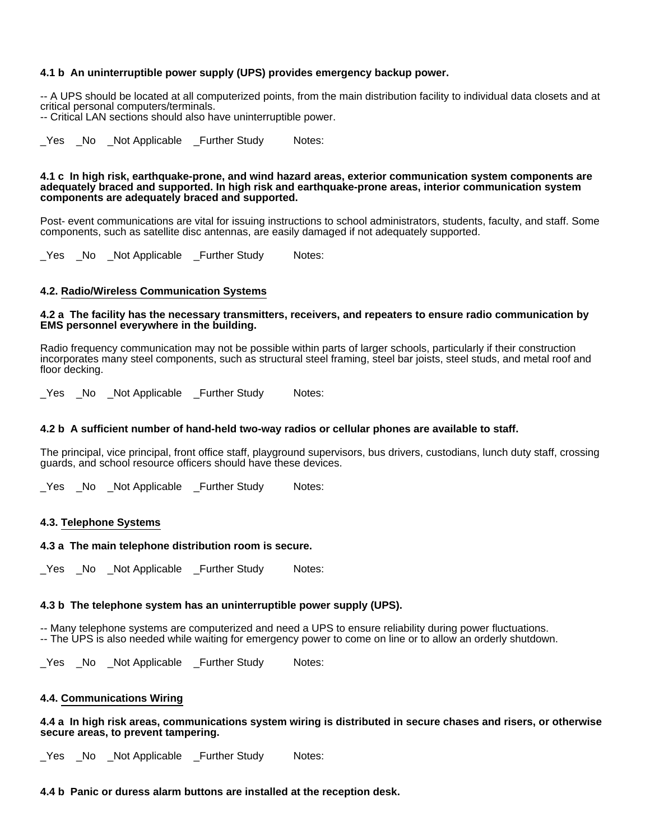# **4.1 b An uninterruptible power supply (UPS) provides emergency backup power.**

-- A UPS should be located at all computerized points, from the main distribution facility to individual data closets and at critical personal computers/terminals.

-- Critical LAN sections should also have uninterruptible power.

\_Yes \_No \_Not Applicable \_Further Study Notes:

#### **4.1 c In high risk, earthquake-prone, and wind hazard areas, exterior communication system components are adequately braced and supported. In high risk and earthquake-prone areas, interior communication system components are adequately braced and supported.**

Post- event communications are vital for issuing instructions to school administrators, students, faculty, and staff. Some components, such as satellite disc antennas, are easily damaged if not adequately supported.

Yes No Not Applicable Further Study Notes:

# **4.2. Radio/Wireless Communication Systems**

# **4.2 a The facility has the necessary transmitters, receivers, and repeaters to ensure radio communication by EMS personnel everywhere in the building.**

Radio frequency communication may not be possible within parts of larger schools, particularly if their construction incorporates many steel components, such as structural steel framing, steel bar joists, steel studs, and metal roof and floor decking.

\_Yes \_No \_Not Applicable \_Further Study Notes:

### **4.2 b A sufficient number of hand-held two-way radios or cellular phones are available to staff.**

The principal, vice principal, front office staff, playground supervisors, bus drivers, custodians, lunch duty staff, crossing guards, and school resource officers should have these devices.

Yes No Not Applicable Further Study Notes:

### **4.3. Telephone Systems**

#### **4.3 a The main telephone distribution room is secure.**

Yes No Not Applicable Further Study Notes:

#### **4.3 b The telephone system has an uninterruptible power supply (UPS).**

-- Many telephone systems are computerized and need a UPS to ensure reliability during power fluctuations. -- The UPS is also needed while waiting for emergency power to come on line or to allow an orderly shutdown.

Yes No Not Applicable Further Study Notes:

#### **4.4. Communications Wiring**

**4.4 a In high risk areas, communications system wiring is distributed in secure chases and risers, or otherwise secure areas, to prevent tampering.**

\_Yes \_No \_Not Applicable \_Further Study Notes:

#### **4.4 b Panic or duress alarm buttons are installed at the reception desk.**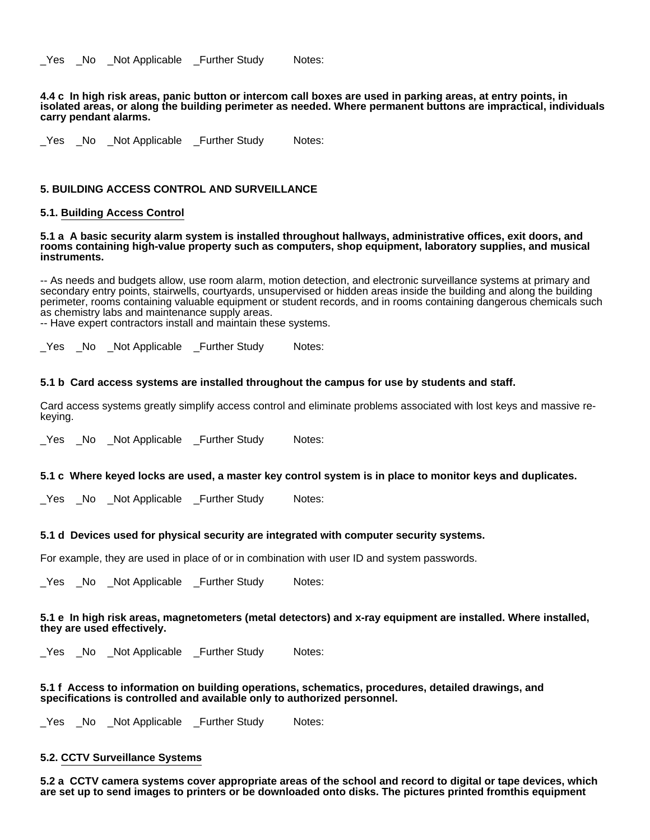Yes No Not Applicable Further Study Notes:

**4.4 c In high risk areas, panic button or intercom call boxes are used in parking areas, at entry points, in isolated areas, or along the building perimeter as needed. Where permanent buttons are impractical, individuals carry pendant alarms.**

\_Yes \_No \_Not Applicable \_Further Study Notes:

### **5. BUILDING ACCESS CONTROL AND SURVEILLANCE**

### **5.1. Building Access Control**

#### **5.1 a A basic security alarm system is installed throughout hallways, administrative offices, exit doors, and rooms containing high-value property such as computers, shop equipment, laboratory supplies, and musical instruments.**

-- As needs and budgets allow, use room alarm, motion detection, and electronic surveillance systems at primary and secondary entry points, stairwells, courtyards, unsupervised or hidden areas inside the building and along the building perimeter, rooms containing valuable equipment or student records, and in rooms containing dangerous chemicals such as chemistry labs and maintenance supply areas.

-- Have expert contractors install and maintain these systems.

Yes No Not Applicable Further Study Notes:

### **5.1 b Card access systems are installed throughout the campus for use by students and staff.**

Card access systems greatly simplify access control and eliminate problems associated with lost keys and massive rekeying.

Yes No Not Applicable Further Study Notes:

### **5.1 c Where keyed locks are used, a master key control system is in place to monitor keys and duplicates.**

\_Yes \_No \_Not Applicable \_Further Study Notes:

### **5.1 d Devices used for physical security are integrated with computer security systems.**

For example, they are used in place of or in combination with user ID and system passwords.

Yes No Not Applicable Further Study Notes:

## **5.1 e In high risk areas, magnetometers (metal detectors) and x-ray equipment are installed. Where installed, they are used effectively.**

Yes No Not Applicable Further Study Notes:

### **5.1 f Access to information on building operations, schematics, procedures, detailed drawings, and specifications is controlled and available only to authorized personnel.**

Yes No Not Applicable Further Study Notes:

## **5.2. CCTV Surveillance Systems**

**5.2 a CCTV camera systems cover appropriate areas of the school and record to digital or tape devices, which are set up to send images to printers or be downloaded onto disks. The pictures printed fromthis equipment**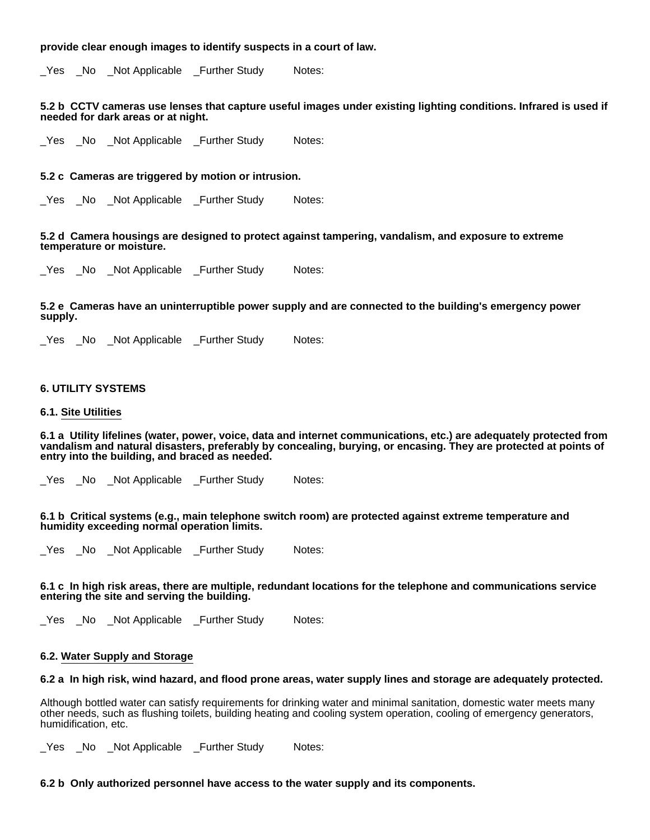# **provide clear enough images to identify suspects in a court of law.**

\_Yes \_No \_Not Applicable \_Further Study Notes:

#### **5.2 b CCTV cameras use lenses that capture useful images under existing lighting conditions. Infrared is used if needed for dark areas or at night.**

\_Yes \_No \_Not Applicable \_Further Study Notes:

#### **5.2 c Cameras are triggered by motion or intrusion.**

Yes No Not Applicable Further Study Notes:

**5.2 d Camera housings are designed to protect against tampering, vandalism, and exposure to extreme temperature or moisture.**

Yes No Not Applicable Further Study Notes:

**5.2 e Cameras have an uninterruptible power supply and are connected to the building's emergency power supply.**

Yes No Not Applicable Further Study Notes:

#### **6. UTILITY SYSTEMS**

#### **6.1. Site Utilities**

**6.1 a Utility lifelines (water, power, voice, data and internet communications, etc.) are adequately protected from vandalism and natural disasters, preferably by concealing, burying, or encasing. They are protected at points of entry into the building, and braced as needed.**

Yes No Not Applicable Further Study Notes:

**6.1 b Critical systems (e.g., main telephone switch room) are protected against extreme temperature and humidity exceeding normal operation limits.**

Yes No Not Applicable Further Study Notes:

#### **6.1 c In high risk areas, there are multiple, redundant locations for the telephone and communications service entering the site and serving the building.**

\_Yes \_No \_Not Applicable \_Further Study Notes:

#### **6.2. Water Supply and Storage**

#### **6.2 a In high risk, wind hazard, and flood prone areas, water supply lines and storage are adequately protected.**

Although bottled water can satisfy requirements for drinking water and minimal sanitation, domestic water meets many other needs, such as flushing toilets, building heating and cooling system operation, cooling of emergency generators, humidification, etc.

\_Yes \_No \_Not Applicable \_Further Study Notes:

#### **6.2 b Only authorized personnel have access to the water supply and its components.**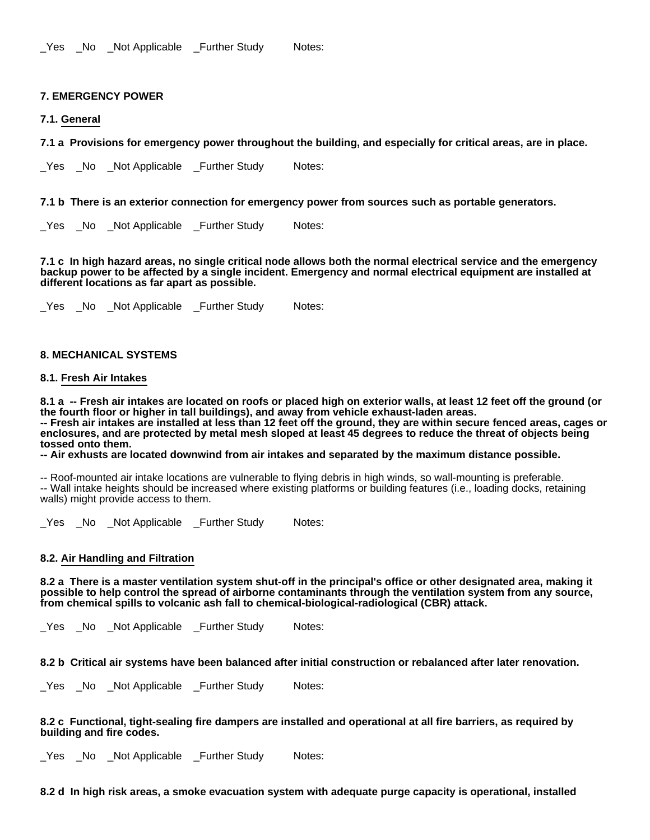\_Yes \_No \_Not Applicable \_Further Study Notes:

# **7. EMERGENCY POWER**

# **7.1. General**

**7.1 a Provisions for emergency power throughout the building, and especially for critical areas, are in place.**

Yes No Not Applicable Further Study Notes:

**7.1 b There is an exterior connection for emergency power from sources such as portable generators.**

\_Yes \_No \_Not Applicable \_Further Study Notes:

**7.1 c In high hazard areas, no single critical node allows both the normal electrical service and the emergency backup power to be affected by a single incident. Emergency and normal electrical equipment are installed at different locations as far apart as possible.**

\_Yes \_No \_Not Applicable \_Further Study Notes:

# **8. MECHANICAL SYSTEMS**

### **8.1. Fresh Air Intakes**

**8.1 a -- Fresh air intakes are located on roofs or placed high on exterior walls, at least 12 feet off the ground (or the fourth floor or higher in tall buildings), and away from vehicle exhaust-laden areas. -- Fresh air intakes are installed at less than 12 feet off the ground, they are within secure fenced areas, cages or enclosures, and are protected by metal mesh sloped at least 45 degrees to reduce the threat of objects being tossed onto them.**

**-- Air exhusts are located downwind from air intakes and separated by the maximum distance possible.**

-- Roof-mounted air intake locations are vulnerable to flying debris in high winds, so wall-mounting is preferable. -- Wall intake heights should be increased where existing platforms or building features (i.e., loading docks, retaining walls) might provide access to them.

Yes No Not Applicable Further Study Notes:

### **8.2. Air Handling and Filtration**

**8.2 a There is a master ventilation system shut-off in the principal's office or other designated area, making it possible to help control the spread of airborne contaminants through the ventilation system from any source, from chemical spills to volcanic ash fall to chemical-biological-radiological (CBR) attack.**

Yes No Not Applicable Further Study Notes:

**8.2 b Critical air systems have been balanced after initial construction or rebalanced after later renovation.**

\_Yes \_No \_Not Applicable \_Further Study Notes:

### **8.2 c Functional, tight-sealing fire dampers are installed and operational at all fire barriers, as required by building and fire codes.**

\_Yes \_No \_Not Applicable \_Further Study Notes:

**8.2 d In high risk areas, a smoke evacuation system with adequate purge capacity is operational, installed**